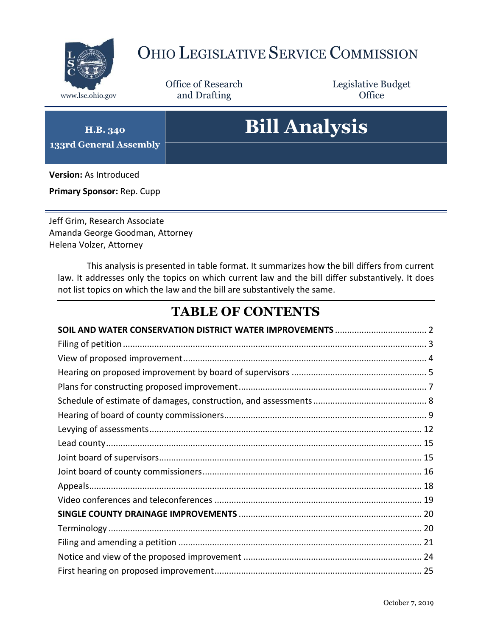

# OHIO LEGISLATIVE SERVICE COMMISSION

Office of Research www.lsc.ohio.gov and Drafting Control Control of Control Control Office

Legislative Budget

# **Bill Analysis**

**H.B. 340 133rd General Assembly**

**Version:** As Introduced

**Primary Sponsor:** Rep. Cupp

Jeff Grim, Research Associate Amanda George Goodman, Attorney Helena Volzer, Attorney

This analysis is presented in table format. It summarizes how the bill differs from current law. It addresses only the topics on which current law and the bill differ substantively. It does not list topics on which the law and the bill are substantively the same.

#### **TABLE OF CONTENTS**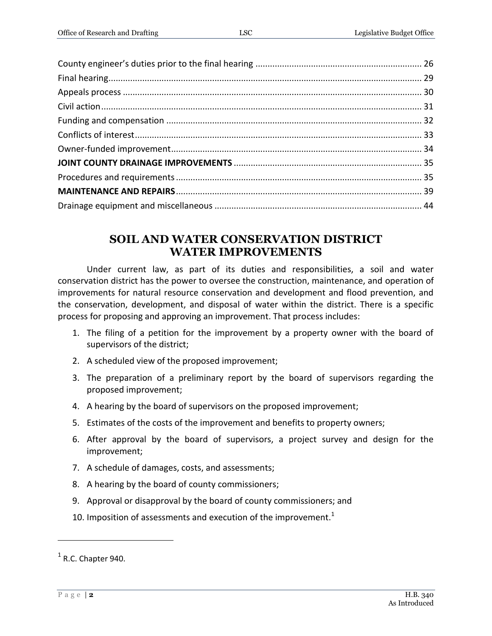#### **SOIL AND WATER CONSERVATION DISTRICT WATER IMPROVEMENTS**

<span id="page-1-0"></span>Under current law, as part of its duties and responsibilities, a soil and water conservation district has the power to oversee the construction, maintenance, and operation of improvements for natural resource conservation and development and flood prevention, and the conservation, development, and disposal of water within the district. There is a specific process for proposing and approving an improvement. That process includes:

- 1. The filing of a petition for the improvement by a property owner with the board of supervisors of the district;
- 2. A scheduled view of the proposed improvement;
- 3. The preparation of a preliminary report by the board of supervisors regarding the proposed improvement;
- 4. A hearing by the board of supervisors on the proposed improvement;
- 5. Estimates of the costs of the improvement and benefits to property owners;
- 6. After approval by the board of supervisors, a project survey and design for the improvement;
- 7. A schedule of damages, costs, and assessments;
- 8. A hearing by the board of county commissioners;
- 9. Approval or disapproval by the board of county commissioners; and
- 10. Imposition of assessments and execution of the improvement.<sup>1</sup>

 $\overline{a}$ 

 $<sup>1</sup>$  R.C. Chapter 940.</sup>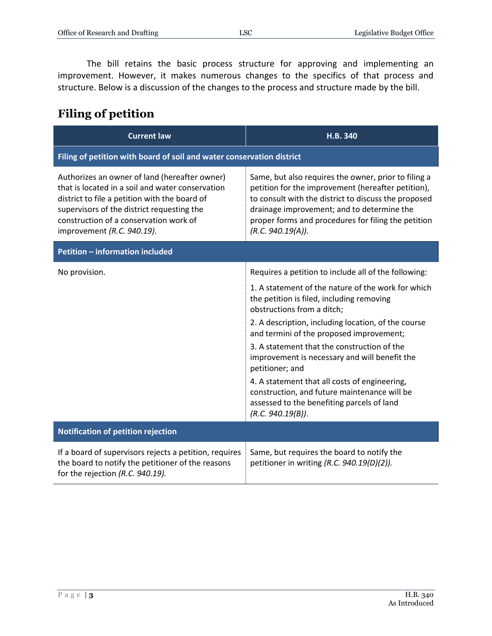The bill retains the basic process structure for approving and implementing an improvement. However, it makes numerous changes to the specifics of that process and structure. Below is a discussion of the changes to the process and structure made by the bill.

#### <span id="page-2-0"></span>**Filing of petition**

| <b>Current law</b>                                                                                                                                                                                                                                                       | H.B. 340                                                                                                                                                                                                                                                                                     |  |
|--------------------------------------------------------------------------------------------------------------------------------------------------------------------------------------------------------------------------------------------------------------------------|----------------------------------------------------------------------------------------------------------------------------------------------------------------------------------------------------------------------------------------------------------------------------------------------|--|
| Filing of petition with board of soil and water conservation district                                                                                                                                                                                                    |                                                                                                                                                                                                                                                                                              |  |
| Authorizes an owner of land (hereafter owner)<br>that is located in a soil and water conservation<br>district to file a petition with the board of<br>supervisors of the district requesting the<br>construction of a conservation work of<br>improvement (R.C. 940.19). | Same, but also requires the owner, prior to filing a<br>petition for the improvement (hereafter petition),<br>to consult with the district to discuss the proposed<br>drainage improvement; and to determine the<br>proper forms and procedures for filing the petition<br>(R.C. 940.19(A)). |  |
| <b>Petition - information included</b>                                                                                                                                                                                                                                   |                                                                                                                                                                                                                                                                                              |  |
| No provision.                                                                                                                                                                                                                                                            | Requires a petition to include all of the following:                                                                                                                                                                                                                                         |  |
|                                                                                                                                                                                                                                                                          | 1. A statement of the nature of the work for which<br>the petition is filed, including removing<br>obstructions from a ditch;                                                                                                                                                                |  |
|                                                                                                                                                                                                                                                                          | 2. A description, including location, of the course<br>and termini of the proposed improvement;                                                                                                                                                                                              |  |
|                                                                                                                                                                                                                                                                          | 3. A statement that the construction of the<br>improvement is necessary and will benefit the<br>petitioner; and                                                                                                                                                                              |  |
|                                                                                                                                                                                                                                                                          | 4. A statement that all costs of engineering,<br>construction, and future maintenance will be<br>assessed to the benefiting parcels of land<br>(R.C. 940.19(B)).                                                                                                                             |  |
| Notification of petition rejection                                                                                                                                                                                                                                       |                                                                                                                                                                                                                                                                                              |  |
| If a board of supervisors rejects a petition, requires<br>the board to notify the petitioner of the reasons<br>for the rejection (R.C. 940.19).                                                                                                                          | Same, but requires the board to notify the<br>petitioner in writing (R.C. 940.19(D)(2)).                                                                                                                                                                                                     |  |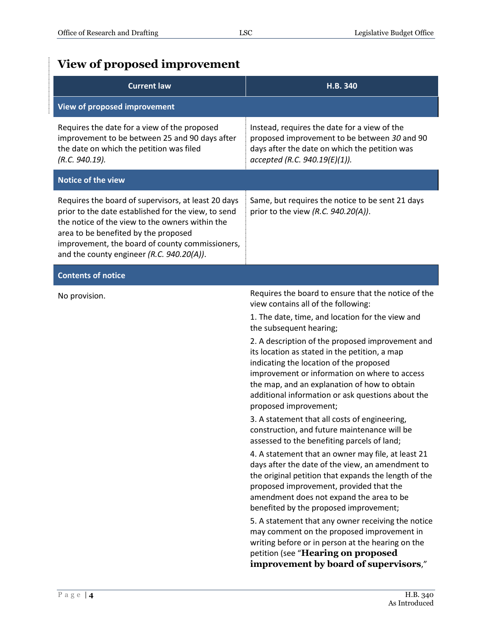## <span id="page-3-0"></span>**View of proposed improvement**

| <b>Current law</b>                                                                                                                                                                                                                                                                                    | H.B. 340                                                                                                                                                                                                                                                                                                                                                                                                                                                                                                                                                                                                                                                                                                                                                                                                                                                                                                                                                                                                                                                                                                                                                                                            |  |
|-------------------------------------------------------------------------------------------------------------------------------------------------------------------------------------------------------------------------------------------------------------------------------------------------------|-----------------------------------------------------------------------------------------------------------------------------------------------------------------------------------------------------------------------------------------------------------------------------------------------------------------------------------------------------------------------------------------------------------------------------------------------------------------------------------------------------------------------------------------------------------------------------------------------------------------------------------------------------------------------------------------------------------------------------------------------------------------------------------------------------------------------------------------------------------------------------------------------------------------------------------------------------------------------------------------------------------------------------------------------------------------------------------------------------------------------------------------------------------------------------------------------------|--|
| View of proposed improvement                                                                                                                                                                                                                                                                          |                                                                                                                                                                                                                                                                                                                                                                                                                                                                                                                                                                                                                                                                                                                                                                                                                                                                                                                                                                                                                                                                                                                                                                                                     |  |
| Requires the date for a view of the proposed<br>improvement to be between 25 and 90 days after<br>the date on which the petition was filed<br>(R.C. 940.19).                                                                                                                                          | Instead, requires the date for a view of the<br>proposed improvement to be between 30 and 90<br>days after the date on which the petition was<br>accepted (R.C. 940.19(E)(1)).                                                                                                                                                                                                                                                                                                                                                                                                                                                                                                                                                                                                                                                                                                                                                                                                                                                                                                                                                                                                                      |  |
| Notice of the view                                                                                                                                                                                                                                                                                    |                                                                                                                                                                                                                                                                                                                                                                                                                                                                                                                                                                                                                                                                                                                                                                                                                                                                                                                                                                                                                                                                                                                                                                                                     |  |
| Requires the board of supervisors, at least 20 days<br>prior to the date established for the view, to send<br>the notice of the view to the owners within the<br>area to be benefited by the proposed<br>improvement, the board of county commissioners,<br>and the county engineer (R.C. 940.20(A)). | Same, but requires the notice to be sent 21 days<br>prior to the view (R.C. $940.20(A)$ ).                                                                                                                                                                                                                                                                                                                                                                                                                                                                                                                                                                                                                                                                                                                                                                                                                                                                                                                                                                                                                                                                                                          |  |
| Contents of notice                                                                                                                                                                                                                                                                                    |                                                                                                                                                                                                                                                                                                                                                                                                                                                                                                                                                                                                                                                                                                                                                                                                                                                                                                                                                                                                                                                                                                                                                                                                     |  |
| No provision.                                                                                                                                                                                                                                                                                         | Requires the board to ensure that the notice of the<br>view contains all of the following:<br>1. The date, time, and location for the view and<br>the subsequent hearing;<br>2. A description of the proposed improvement and<br>its location as stated in the petition, a map<br>indicating the location of the proposed<br>improvement or information on where to access<br>the map, and an explanation of how to obtain<br>additional information or ask questions about the<br>proposed improvement;<br>3. A statement that all costs of engineering,<br>construction, and future maintenance will be<br>assessed to the benefiting parcels of land;<br>4. A statement that an owner may file, at least 21<br>days after the date of the view, an amendment to<br>the original petition that expands the length of the<br>proposed improvement, provided that the<br>amendment does not expand the area to be<br>benefited by the proposed improvement;<br>5. A statement that any owner receiving the notice<br>may comment on the proposed improvement in<br>writing before or in person at the hearing on the<br>petition (see "Hearing on proposed<br>improvement by board of supervisors," |  |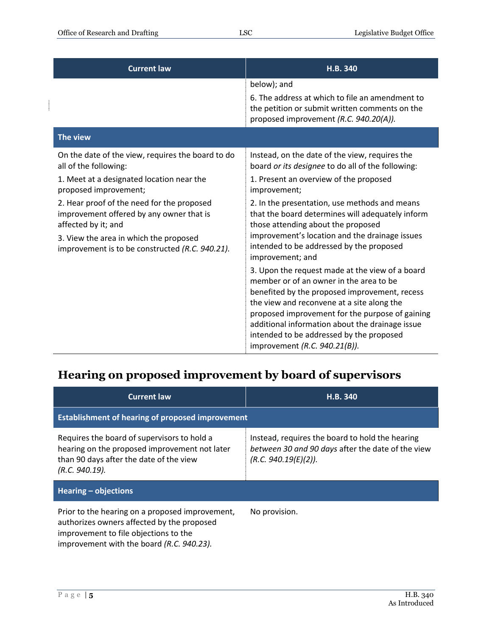| <b>Current law</b>                                                                                            | H.B. 340                                                                                                                                                                                                                                                                                                                                                                     |
|---------------------------------------------------------------------------------------------------------------|------------------------------------------------------------------------------------------------------------------------------------------------------------------------------------------------------------------------------------------------------------------------------------------------------------------------------------------------------------------------------|
|                                                                                                               | below); and                                                                                                                                                                                                                                                                                                                                                                  |
|                                                                                                               | 6. The address at which to file an amendment to<br>the petition or submit written comments on the<br>proposed improvement (R.C. 940.20(A)).                                                                                                                                                                                                                                  |
| The view                                                                                                      |                                                                                                                                                                                                                                                                                                                                                                              |
| On the date of the view, requires the board to do<br>all of the following:                                    | Instead, on the date of the view, requires the<br>board or its designee to do all of the following:                                                                                                                                                                                                                                                                          |
| 1. Meet at a designated location near the<br>proposed improvement;                                            | 1. Present an overview of the proposed<br>improvement;                                                                                                                                                                                                                                                                                                                       |
| 2. Hear proof of the need for the proposed<br>improvement offered by any owner that is<br>affected by it; and | 2. In the presentation, use methods and means<br>that the board determines will adequately inform<br>those attending about the proposed                                                                                                                                                                                                                                      |
| 3. View the area in which the proposed<br>improvement is to be constructed (R.C. 940.21).                     | improvement's location and the drainage issues<br>intended to be addressed by the proposed<br>improvement; and                                                                                                                                                                                                                                                               |
|                                                                                                               | 3. Upon the request made at the view of a board<br>member or of an owner in the area to be<br>benefited by the proposed improvement, recess<br>the view and reconvene at a site along the<br>proposed improvement for the purpose of gaining<br>additional information about the drainage issue<br>intended to be addressed by the proposed<br>improvement (R.C. 940.21(B)). |

#### <span id="page-4-0"></span>**Hearing on proposed improvement by board of supervisors**

| <b>Current law</b>                                                                                                                                                                  | H.B. 340                                                                                                                     |  |
|-------------------------------------------------------------------------------------------------------------------------------------------------------------------------------------|------------------------------------------------------------------------------------------------------------------------------|--|
| <b>Establishment of hearing of proposed improvement</b>                                                                                                                             |                                                                                                                              |  |
| Requires the board of supervisors to hold a<br>hearing on the proposed improvement not later<br>than 90 days after the date of the view<br>(R.C. 940.19).                           | Instead, requires the board to hold the hearing<br>between 30 and 90 days after the date of the view<br>(R.C. 940.19(E)(2)). |  |
| Hearing $-$ objections                                                                                                                                                              |                                                                                                                              |  |
| Prior to the hearing on a proposed improvement,<br>authorizes owners affected by the proposed<br>improvement to file objections to the<br>improvement with the board (R.C. 940.23). | No provision.                                                                                                                |  |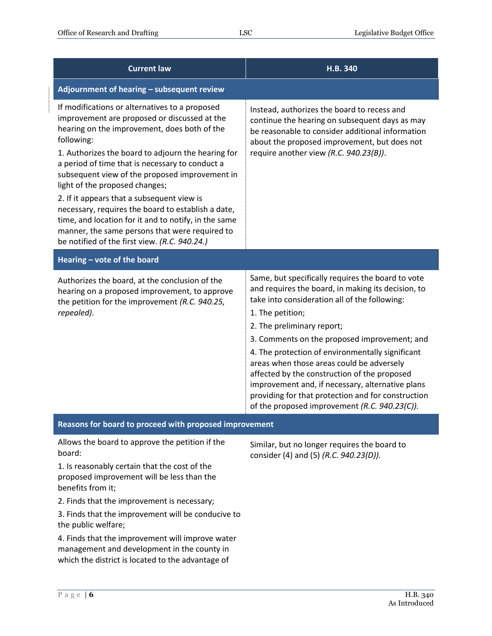| <b>Current law</b>                                                                                                                                                                                                                                                                                                                                                                                                                                                                                                                                                                                                       | H.B. 340                                                                                                                                                                                                                                                                                                                                                                                                                                                                                                                                                               |
|--------------------------------------------------------------------------------------------------------------------------------------------------------------------------------------------------------------------------------------------------------------------------------------------------------------------------------------------------------------------------------------------------------------------------------------------------------------------------------------------------------------------------------------------------------------------------------------------------------------------------|------------------------------------------------------------------------------------------------------------------------------------------------------------------------------------------------------------------------------------------------------------------------------------------------------------------------------------------------------------------------------------------------------------------------------------------------------------------------------------------------------------------------------------------------------------------------|
| Adjournment of hearing - subsequent review                                                                                                                                                                                                                                                                                                                                                                                                                                                                                                                                                                               |                                                                                                                                                                                                                                                                                                                                                                                                                                                                                                                                                                        |
| If modifications or alternatives to a proposed<br>improvement are proposed or discussed at the<br>hearing on the improvement, does both of the<br>following:<br>1. Authorizes the board to adjourn the hearing for<br>a period of time that is necessary to conduct a<br>subsequent view of the proposed improvement in<br>light of the proposed changes;<br>2. If it appears that a subsequent view is<br>necessary, requires the board to establish a date,<br>time, and location for it and to notify, in the same<br>manner, the same persons that were required to<br>be notified of the first view. (R.C. 940.24.) | Instead, authorizes the board to recess and<br>continue the hearing on subsequent days as may<br>be reasonable to consider additional information<br>about the proposed improvement, but does not<br>require another view (R.C. 940.23(B)).                                                                                                                                                                                                                                                                                                                            |
| Hearing - vote of the board                                                                                                                                                                                                                                                                                                                                                                                                                                                                                                                                                                                              |                                                                                                                                                                                                                                                                                                                                                                                                                                                                                                                                                                        |
| Authorizes the board, at the conclusion of the<br>hearing on a proposed improvement, to approve<br>the petition for the improvement (R.C. 940.25,<br>repealed).                                                                                                                                                                                                                                                                                                                                                                                                                                                          | Same, but specifically requires the board to vote<br>and requires the board, in making its decision, to<br>take into consideration all of the following:<br>1. The petition;<br>2. The preliminary report;<br>3. Comments on the proposed improvement; and<br>4. The protection of environmentally significant<br>areas when those areas could be adversely<br>affected by the construction of the proposed<br>improvement and, if necessary, alternative plans<br>providing for that protection and for construction<br>of the proposed improvement (R.C. 940.23(C)). |
| Reasons for board to proceed with proposed improvement                                                                                                                                                                                                                                                                                                                                                                                                                                                                                                                                                                   |                                                                                                                                                                                                                                                                                                                                                                                                                                                                                                                                                                        |
| Allows the board to approve the petition if the<br>board:<br>1. Is reasonably certain that the cost of the<br>proposed improvement will be less than the<br>benefits from it;<br>2. Finds that the improvement is necessary;<br>3. Finds that the improvement will be conducive to<br>the public welfare;<br>4. Finds that the improvement will improve water<br>management and development in the county in<br>which the district is located to the advantage of                                                                                                                                                        | Similar, but no longer requires the board to<br>consider (4) and (5) (R.C. 940.23(D)).                                                                                                                                                                                                                                                                                                                                                                                                                                                                                 |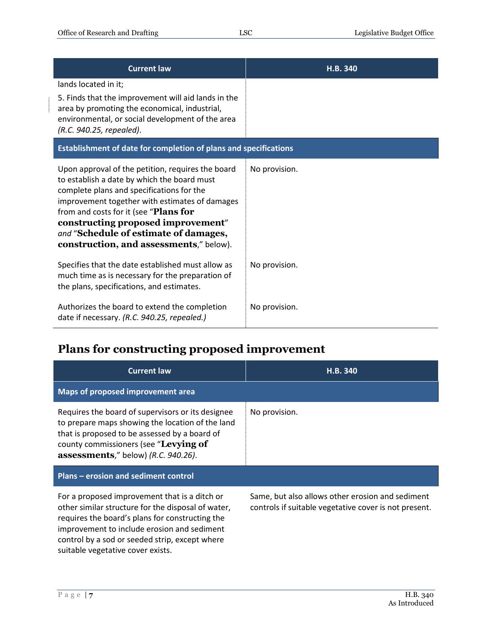| <b>Current law</b>                                                                                                                                                                                                                                                                                                                                                 | H.B. 340      |
|--------------------------------------------------------------------------------------------------------------------------------------------------------------------------------------------------------------------------------------------------------------------------------------------------------------------------------------------------------------------|---------------|
| lands located in it;<br>5. Finds that the improvement will aid lands in the<br>area by promoting the economical, industrial,<br>environmental, or social development of the area                                                                                                                                                                                   |               |
| (R.C. 940.25, repealed).<br>Establishment of date for completion of plans and specifications                                                                                                                                                                                                                                                                       |               |
| Upon approval of the petition, requires the board<br>to establish a date by which the board must<br>complete plans and specifications for the<br>improvement together with estimates of damages<br>from and costs for it (see "Plans for<br>constructing proposed improvement"<br>and "Schedule of estimate of damages,<br>construction, and assessments," below). | No provision. |
| Specifies that the date established must allow as<br>much time as is necessary for the preparation of<br>the plans, specifications, and estimates.                                                                                                                                                                                                                 | No provision. |
| Authorizes the board to extend the completion<br>date if necessary. (R.C. 940.25, repealed.)                                                                                                                                                                                                                                                                       | No provision. |

#### <span id="page-6-0"></span>**Plans for constructing proposed improvement**

| <b>Current law</b>                                                                                                                                                                                                                                                                           | H.B. 340                                                                                                  |
|----------------------------------------------------------------------------------------------------------------------------------------------------------------------------------------------------------------------------------------------------------------------------------------------|-----------------------------------------------------------------------------------------------------------|
| Maps of proposed improvement area                                                                                                                                                                                                                                                            |                                                                                                           |
| Requires the board of supervisors or its designee<br>to prepare maps showing the location of the land<br>that is proposed to be assessed by a board of<br>county commissioners (see "Levying of<br>assessments," below) (R.C. 940.26).                                                       | No provision.                                                                                             |
| Plans – erosion and sediment control                                                                                                                                                                                                                                                         |                                                                                                           |
| For a proposed improvement that is a ditch or<br>other similar structure for the disposal of water,<br>requires the board's plans for constructing the<br>improvement to include erosion and sediment<br>control by a sod or seeded strip, except where<br>suitable vegetative cover exists. | Same, but also allows other erosion and sediment<br>controls if suitable vegetative cover is not present. |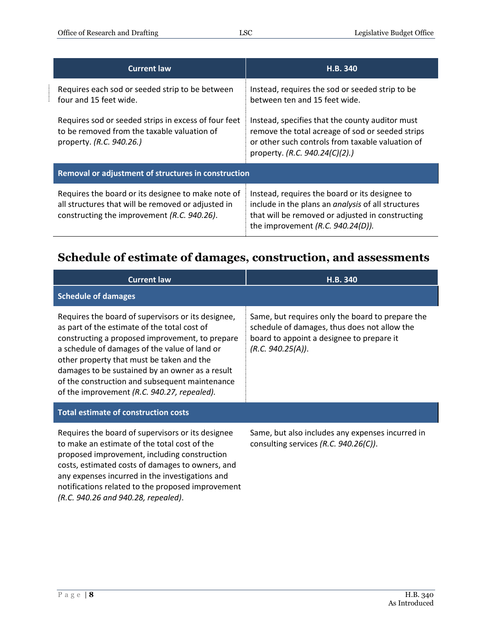| <b>Current law</b>                                                                                                                                      | H.B. 340                                                                                                                                                                                                |  |
|---------------------------------------------------------------------------------------------------------------------------------------------------------|---------------------------------------------------------------------------------------------------------------------------------------------------------------------------------------------------------|--|
| Requires each sod or seeded strip to be between<br>four and 15 feet wide.                                                                               | Instead, requires the sod or seeded strip to be<br>between ten and 15 feet wide.                                                                                                                        |  |
| Requires sod or seeded strips in excess of four feet<br>to be removed from the taxable valuation of<br>property. (R.C. 940.26.)                         | Instead, specifies that the county auditor must<br>remove the total acreage of sod or seeded strips<br>or other such controls from taxable valuation of<br>property. (R.C. 940.24(C)(2).)               |  |
| Removal or adjustment of structures in construction                                                                                                     |                                                                                                                                                                                                         |  |
| Requires the board or its designee to make note of<br>all structures that will be removed or adjusted in<br>constructing the improvement (R.C. 940.26). | Instead, requires the board or its designee to<br>include in the plans an <i>analysis</i> of all structures<br>that will be removed or adjusted in constructing<br>the improvement $(R.C. 940.24(D))$ . |  |

## <span id="page-7-0"></span>**Schedule of estimate of damages, construction, and assessments**

| <b>Current law</b>                                                                                                                                                                                                                                                                                                                                                                                      | H.B. 340                                                                                                                                                           |
|---------------------------------------------------------------------------------------------------------------------------------------------------------------------------------------------------------------------------------------------------------------------------------------------------------------------------------------------------------------------------------------------------------|--------------------------------------------------------------------------------------------------------------------------------------------------------------------|
| <b>Schedule of damages</b>                                                                                                                                                                                                                                                                                                                                                                              |                                                                                                                                                                    |
| Requires the board of supervisors or its designee,<br>as part of the estimate of the total cost of<br>constructing a proposed improvement, to prepare<br>a schedule of damages of the value of land or<br>other property that must be taken and the<br>damages to be sustained by an owner as a result<br>of the construction and subsequent maintenance<br>of the improvement (R.C. 940.27, repealed). | Same, but requires only the board to prepare the<br>schedule of damages, thus does not allow the<br>board to appoint a designee to prepare it<br>(R.C. 940.25(A)). |
| <b>Total estimate of construction costs</b>                                                                                                                                                                                                                                                                                                                                                             |                                                                                                                                                                    |
| Requires the board of supervisors or its designee<br>to make an estimate of the total cost of the<br>proposed improvement, including construction<br>costs, estimated costs of damages to owners, and<br>any expenses incurred in the investigations and<br>notifications related to the proposed improvement<br>(R.C. 940.26 and 940.28, repealed).                                                    | Same, but also includes any expenses incurred in<br>consulting services $(R.C. 940.26(C))$ .                                                                       |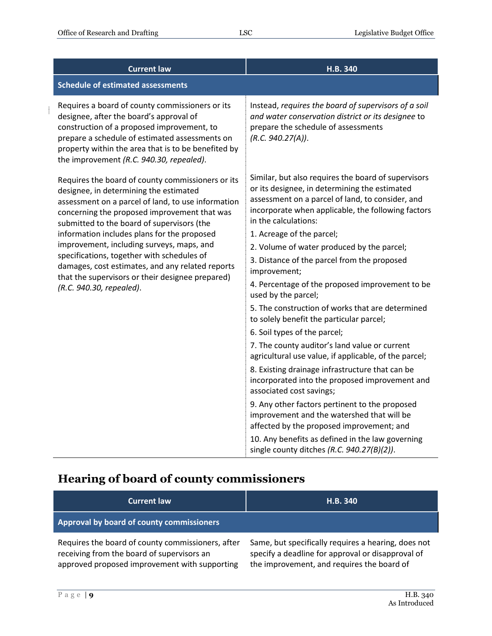$\frac{1}{2}$ 

| <b>Current law</b>                                                                                                                                                                                                                                                                                                                                                                                                                                                                                                            | H.B. 340                                                                                                                                                                                                                                                                                                                                                                                                                                                                                                                                                                                                                                                                                             |
|-------------------------------------------------------------------------------------------------------------------------------------------------------------------------------------------------------------------------------------------------------------------------------------------------------------------------------------------------------------------------------------------------------------------------------------------------------------------------------------------------------------------------------|------------------------------------------------------------------------------------------------------------------------------------------------------------------------------------------------------------------------------------------------------------------------------------------------------------------------------------------------------------------------------------------------------------------------------------------------------------------------------------------------------------------------------------------------------------------------------------------------------------------------------------------------------------------------------------------------------|
| <b>Schedule of estimated assessments</b>                                                                                                                                                                                                                                                                                                                                                                                                                                                                                      |                                                                                                                                                                                                                                                                                                                                                                                                                                                                                                                                                                                                                                                                                                      |
| Requires a board of county commissioners or its<br>designee, after the board's approval of<br>construction of a proposed improvement, to<br>prepare a schedule of estimated assessments on<br>property within the area that is to be benefited by<br>the improvement (R.C. 940.30, repealed).                                                                                                                                                                                                                                 | Instead, requires the board of supervisors of a soil<br>and water conservation district or its designee to<br>prepare the schedule of assessments<br>(R.C. 940.27(A)).                                                                                                                                                                                                                                                                                                                                                                                                                                                                                                                               |
| Requires the board of county commissioners or its<br>designee, in determining the estimated<br>assessment on a parcel of land, to use information<br>concerning the proposed improvement that was<br>submitted to the board of supervisors (the<br>information includes plans for the proposed<br>improvement, including surveys, maps, and<br>specifications, together with schedules of<br>damages, cost estimates, and any related reports<br>that the supervisors or their designee prepared)<br>(R.C. 940.30, repealed). | Similar, but also requires the board of supervisors<br>or its designee, in determining the estimated<br>assessment on a parcel of land, to consider, and<br>incorporate when applicable, the following factors<br>in the calculations:<br>1. Acreage of the parcel;<br>2. Volume of water produced by the parcel;<br>3. Distance of the parcel from the proposed<br>improvement;<br>4. Percentage of the proposed improvement to be<br>used by the parcel;<br>5. The construction of works that are determined<br>to solely benefit the particular parcel;<br>6. Soil types of the parcel;<br>7. The county auditor's land value or current<br>agricultural use value, if applicable, of the parcel; |
|                                                                                                                                                                                                                                                                                                                                                                                                                                                                                                                               | 8. Existing drainage infrastructure that can be<br>incorporated into the proposed improvement and<br>associated cost savings;                                                                                                                                                                                                                                                                                                                                                                                                                                                                                                                                                                        |
|                                                                                                                                                                                                                                                                                                                                                                                                                                                                                                                               | 9. Any other factors pertinent to the proposed<br>improvement and the watershed that will be<br>affected by the proposed improvement; and                                                                                                                                                                                                                                                                                                                                                                                                                                                                                                                                                            |
|                                                                                                                                                                                                                                                                                                                                                                                                                                                                                                                               | 10. Any benefits as defined in the law governing<br>single county ditches $(R.C. 940.27(B)(2)).$                                                                                                                                                                                                                                                                                                                                                                                                                                                                                                                                                                                                     |

#### <span id="page-8-0"></span>**Hearing of board of county commissioners**

| <b>Current law</b>                                                                              | <b>H.B. 340</b>                                                                                          |
|-------------------------------------------------------------------------------------------------|----------------------------------------------------------------------------------------------------------|
| Approval by board of county commissioners                                                       |                                                                                                          |
| Requires the board of county commissioners, after<br>receiving from the board of supervisors an | Same, but specifically requires a hearing, does not<br>specify a deadline for approval or disapproval of |

approved proposed improvement with supporting the improvement, and requires the board of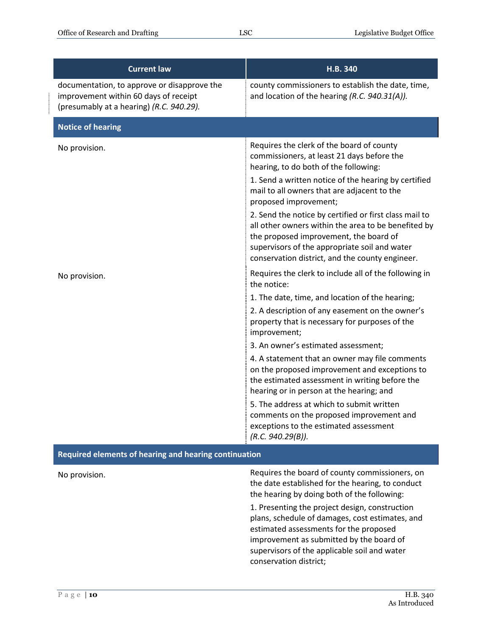| <b>Current law</b>                                                                                                               | H.B. 340                                                                                                                                                                                                                                                    |  |
|----------------------------------------------------------------------------------------------------------------------------------|-------------------------------------------------------------------------------------------------------------------------------------------------------------------------------------------------------------------------------------------------------------|--|
| documentation, to approve or disapprove the<br>improvement within 60 days of receipt<br>(presumably at a hearing) (R.C. 940.29). | county commissioners to establish the date, time,<br>and location of the hearing (R.C. 940.31(A)).                                                                                                                                                          |  |
| <b>Notice of hearing</b>                                                                                                         |                                                                                                                                                                                                                                                             |  |
| No provision.                                                                                                                    | Requires the clerk of the board of county<br>commissioners, at least 21 days before the<br>hearing, to do both of the following:                                                                                                                            |  |
|                                                                                                                                  | 1. Send a written notice of the hearing by certified<br>mail to all owners that are adjacent to the<br>proposed improvement;                                                                                                                                |  |
|                                                                                                                                  | 2. Send the notice by certified or first class mail to<br>all other owners within the area to be benefited by<br>the proposed improvement, the board of<br>supervisors of the appropriate soil and water<br>conservation district, and the county engineer. |  |
| No provision.                                                                                                                    | Requires the clerk to include all of the following in<br>the notice:                                                                                                                                                                                        |  |
|                                                                                                                                  | 1. The date, time, and location of the hearing;<br>2. A description of any easement on the owner's<br>property that is necessary for purposes of the<br>improvement;                                                                                        |  |
|                                                                                                                                  | 3. An owner's estimated assessment;                                                                                                                                                                                                                         |  |
|                                                                                                                                  | 4. A statement that an owner may file comments<br>on the proposed improvement and exceptions to<br>the estimated assessment in writing before the<br>hearing or in person at the hearing; and                                                               |  |
|                                                                                                                                  | 5. The address at which to submit written<br>comments on the proposed improvement and<br>exceptions to the estimated assessment<br>(R.C. 940.29(B)).                                                                                                        |  |
| Required elements of hearing and hearing continuation                                                                            |                                                                                                                                                                                                                                                             |  |
| No provision.                                                                                                                    | Requires the board of county commissioners, on<br>the date established for the hearing, to conduct<br>the hearing by doing both of the following:                                                                                                           |  |
|                                                                                                                                  | 1. Presenting the project design, construction<br>plans, schedule of damages, cost estimates, and<br>estimated assessments for the proposed<br>improvement as submitted by the board of                                                                     |  |

supervisors of the applicable soil and water

conservation district;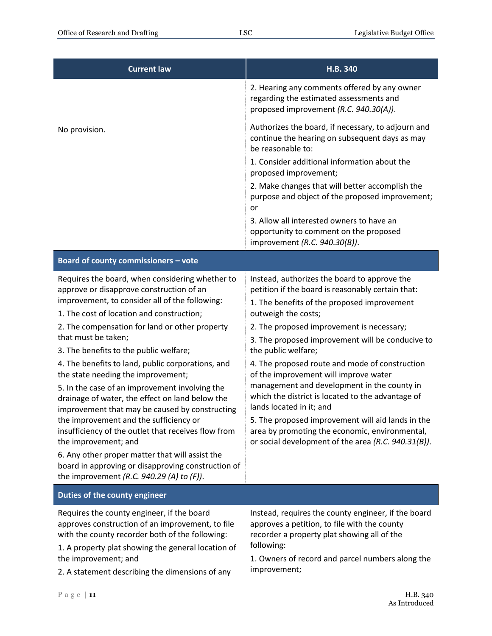| <b>Current law</b>                                                                                                                                                                                                                                                                                                                                                                                                                                                                                                                                                                                                                                                                                                                                                                                                                                | <b>H.B. 340</b>                                                                                                                                                                                                                                                                                                                                                                                                                                                                                                                                                                                                                                                                          |
|---------------------------------------------------------------------------------------------------------------------------------------------------------------------------------------------------------------------------------------------------------------------------------------------------------------------------------------------------------------------------------------------------------------------------------------------------------------------------------------------------------------------------------------------------------------------------------------------------------------------------------------------------------------------------------------------------------------------------------------------------------------------------------------------------------------------------------------------------|------------------------------------------------------------------------------------------------------------------------------------------------------------------------------------------------------------------------------------------------------------------------------------------------------------------------------------------------------------------------------------------------------------------------------------------------------------------------------------------------------------------------------------------------------------------------------------------------------------------------------------------------------------------------------------------|
|                                                                                                                                                                                                                                                                                                                                                                                                                                                                                                                                                                                                                                                                                                                                                                                                                                                   | 2. Hearing any comments offered by any owner<br>regarding the estimated assessments and<br>proposed improvement (R.C. 940.30(A)).                                                                                                                                                                                                                                                                                                                                                                                                                                                                                                                                                        |
| No provision.                                                                                                                                                                                                                                                                                                                                                                                                                                                                                                                                                                                                                                                                                                                                                                                                                                     | Authorizes the board, if necessary, to adjourn and<br>continue the hearing on subsequent days as may<br>be reasonable to:                                                                                                                                                                                                                                                                                                                                                                                                                                                                                                                                                                |
|                                                                                                                                                                                                                                                                                                                                                                                                                                                                                                                                                                                                                                                                                                                                                                                                                                                   | 1. Consider additional information about the<br>proposed improvement;                                                                                                                                                                                                                                                                                                                                                                                                                                                                                                                                                                                                                    |
|                                                                                                                                                                                                                                                                                                                                                                                                                                                                                                                                                                                                                                                                                                                                                                                                                                                   | 2. Make changes that will better accomplish the                                                                                                                                                                                                                                                                                                                                                                                                                                                                                                                                                                                                                                          |
|                                                                                                                                                                                                                                                                                                                                                                                                                                                                                                                                                                                                                                                                                                                                                                                                                                                   | purpose and object of the proposed improvement;<br>or                                                                                                                                                                                                                                                                                                                                                                                                                                                                                                                                                                                                                                    |
|                                                                                                                                                                                                                                                                                                                                                                                                                                                                                                                                                                                                                                                                                                                                                                                                                                                   | 3. Allow all interested owners to have an<br>opportunity to comment on the proposed<br>improvement (R.C. 940.30(B)).                                                                                                                                                                                                                                                                                                                                                                                                                                                                                                                                                                     |
| Board of county commissioners - vote                                                                                                                                                                                                                                                                                                                                                                                                                                                                                                                                                                                                                                                                                                                                                                                                              |                                                                                                                                                                                                                                                                                                                                                                                                                                                                                                                                                                                                                                                                                          |
| Requires the board, when considering whether to<br>approve or disapprove construction of an<br>improvement, to consider all of the following:<br>1. The cost of location and construction;<br>2. The compensation for land or other property<br>that must be taken;<br>3. The benefits to the public welfare;<br>4. The benefits to land, public corporations, and<br>the state needing the improvement;<br>5. In the case of an improvement involving the<br>drainage of water, the effect on land below the<br>improvement that may be caused by constructing<br>the improvement and the sufficiency or<br>insufficiency of the outlet that receives flow from<br>the improvement; and<br>6. Any other proper matter that will assist the<br>board in approving or disapproving construction of<br>the improvement (R.C. 940.29 (A) to $(F)$ ). | Instead, authorizes the board to approve the<br>petition if the board is reasonably certain that:<br>1. The benefits of the proposed improvement<br>outweigh the costs;<br>2. The proposed improvement is necessary;<br>3. The proposed improvement will be conducive to<br>the public welfare;<br>4. The proposed route and mode of construction<br>of the improvement will improve water<br>management and development in the county in<br>which the district is located to the advantage of<br>lands located in it; and<br>5. The proposed improvement will aid lands in the<br>area by promoting the economic, environmental,<br>or social development of the area (R.C. 940.31(B)). |
| Duties of the county engineer                                                                                                                                                                                                                                                                                                                                                                                                                                                                                                                                                                                                                                                                                                                                                                                                                     |                                                                                                                                                                                                                                                                                                                                                                                                                                                                                                                                                                                                                                                                                          |
| Requires the county engineer, if the board<br>approves construction of an improvement, to file<br>with the county recorder both of the following:<br>1. A property plat showing the general location of<br>the improvement; and<br>2. A statement describing the dimensions of any                                                                                                                                                                                                                                                                                                                                                                                                                                                                                                                                                                | Instead, requires the county engineer, if the board<br>approves a petition, to file with the county<br>recorder a property plat showing all of the<br>following:<br>1. Owners of record and parcel numbers along the<br>improvement;                                                                                                                                                                                                                                                                                                                                                                                                                                                     |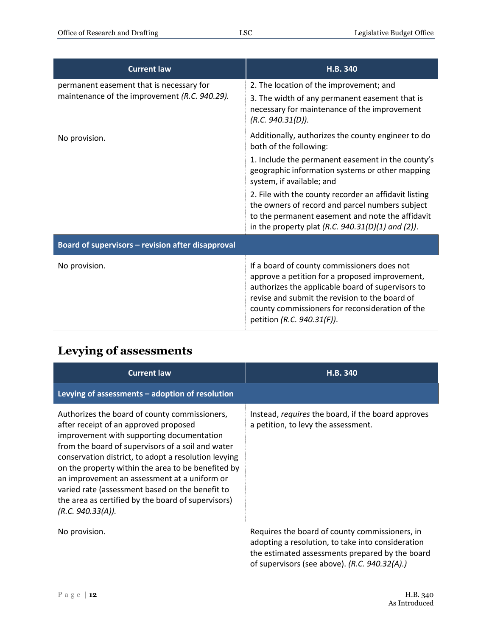$\mathbf{r}$ 

| <b>Current law</b>                                                                        | H.B. 340                                                                                                                                                                                                                                                                              |
|-------------------------------------------------------------------------------------------|---------------------------------------------------------------------------------------------------------------------------------------------------------------------------------------------------------------------------------------------------------------------------------------|
| permanent easement that is necessary for<br>maintenance of the improvement (R.C. 940.29). | 2. The location of the improvement; and<br>3. The width of any permanent easement that is<br>necessary for maintenance of the improvement<br>(R.C. 940.31(D)).                                                                                                                        |
| No provision.                                                                             | Additionally, authorizes the county engineer to do<br>both of the following:                                                                                                                                                                                                          |
|                                                                                           | 1. Include the permanent easement in the county's<br>geographic information systems or other mapping<br>system, if available; and                                                                                                                                                     |
|                                                                                           | 2. File with the county recorder an affidavit listing<br>the owners of record and parcel numbers subject<br>to the permanent easement and note the affidavit<br>in the property plat (R.C. $940.31(D)(1)$ and (2)).                                                                   |
| Board of supervisors - revision after disapproval                                         |                                                                                                                                                                                                                                                                                       |
| No provision.                                                                             | If a board of county commissioners does not<br>approve a petition for a proposed improvement,<br>authorizes the applicable board of supervisors to<br>revise and submit the revision to the board of<br>county commissioners for reconsideration of the<br>petition (R.C. 940.31(F)). |

# <span id="page-11-0"></span>**Levying of assessments**

| <b>Current law</b>                                                                                                                                                                                                                                                                                                                                                                                                                                                                   | H.B. 340                                                                                                                                                                                                |
|--------------------------------------------------------------------------------------------------------------------------------------------------------------------------------------------------------------------------------------------------------------------------------------------------------------------------------------------------------------------------------------------------------------------------------------------------------------------------------------|---------------------------------------------------------------------------------------------------------------------------------------------------------------------------------------------------------|
| Levying of assessments $-$ adoption of resolution                                                                                                                                                                                                                                                                                                                                                                                                                                    |                                                                                                                                                                                                         |
| Authorizes the board of county commissioners,<br>after receipt of an approved proposed<br>improvement with supporting documentation<br>from the board of supervisors of a soil and water<br>conservation district, to adopt a resolution levying<br>on the property within the area to be benefited by<br>an improvement an assessment at a uniform or<br>varied rate (assessment based on the benefit to<br>the area as certified by the board of supervisors)<br>(R.C. 940.33(A)). | Instead, requires the board, if the board approves<br>a petition, to levy the assessment.                                                                                                               |
| No provision.                                                                                                                                                                                                                                                                                                                                                                                                                                                                        | Requires the board of county commissioners, in<br>adopting a resolution, to take into consideration<br>the estimated assessments prepared by the board<br>of supervisors (see above). (R.C. 940.32(A).) |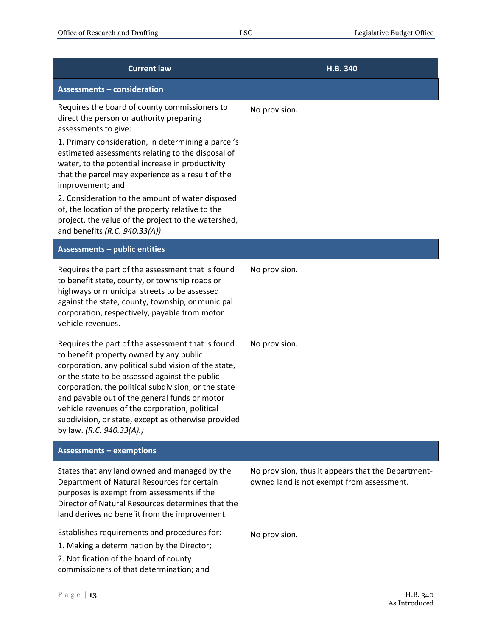÷

| <b>Current law</b>                                                                                                                                                                                                                                                                                                                                                                                                                                    | H.B. 340                                                                                        |
|-------------------------------------------------------------------------------------------------------------------------------------------------------------------------------------------------------------------------------------------------------------------------------------------------------------------------------------------------------------------------------------------------------------------------------------------------------|-------------------------------------------------------------------------------------------------|
| <b>Assessments - consideration</b>                                                                                                                                                                                                                                                                                                                                                                                                                    |                                                                                                 |
| Requires the board of county commissioners to<br>direct the person or authority preparing<br>assessments to give:                                                                                                                                                                                                                                                                                                                                     | No provision.                                                                                   |
| 1. Primary consideration, in determining a parcel's<br>estimated assessments relating to the disposal of<br>water, to the potential increase in productivity<br>that the parcel may experience as a result of the<br>improvement; and                                                                                                                                                                                                                 |                                                                                                 |
| 2. Consideration to the amount of water disposed<br>of, the location of the property relative to the<br>project, the value of the project to the watershed,<br>and benefits (R.C. 940.33(A)).                                                                                                                                                                                                                                                         |                                                                                                 |
| <b>Assessments - public entities</b>                                                                                                                                                                                                                                                                                                                                                                                                                  |                                                                                                 |
| Requires the part of the assessment that is found<br>to benefit state, county, or township roads or<br>highways or municipal streets to be assessed<br>against the state, county, township, or municipal<br>corporation, respectively, payable from motor<br>vehicle revenues.                                                                                                                                                                        | No provision.                                                                                   |
| Requires the part of the assessment that is found<br>to benefit property owned by any public<br>corporation, any political subdivision of the state,<br>or the state to be assessed against the public<br>corporation, the political subdivision, or the state<br>and payable out of the general funds or motor<br>vehicle revenues of the corporation, political<br>subdivision, or state, except as otherwise provided<br>by law. (R.C. 940.33(A).) | No provision.                                                                                   |
| <b>Assessments - exemptions</b>                                                                                                                                                                                                                                                                                                                                                                                                                       |                                                                                                 |
| States that any land owned and managed by the<br>Department of Natural Resources for certain<br>purposes is exempt from assessments if the<br>Director of Natural Resources determines that the<br>land derives no benefit from the improvement.                                                                                                                                                                                                      | No provision, thus it appears that the Department-<br>owned land is not exempt from assessment. |
| Establishes requirements and procedures for:<br>1. Making a determination by the Director;<br>2. Notification of the board of county<br>commissioners of that determination; and                                                                                                                                                                                                                                                                      | No provision.                                                                                   |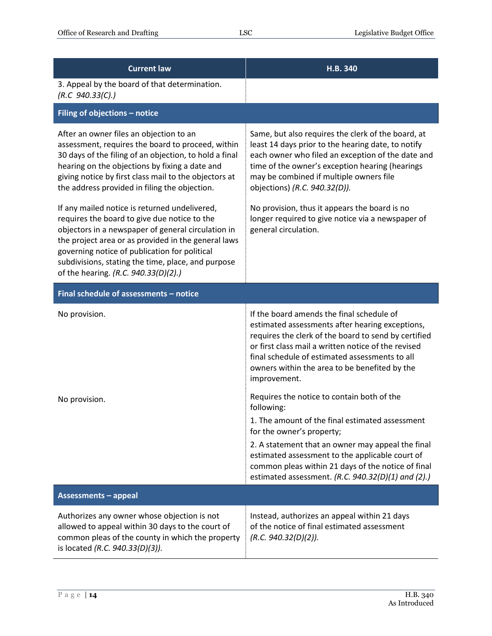| <b>Current law</b>                                                                                                                                                                                                                                                                                                                                                                                                                                                                                                                                                                                                                                                              | H.B. 340                                                                                                                                                                                                                                                                                                                                                                                                                   |
|---------------------------------------------------------------------------------------------------------------------------------------------------------------------------------------------------------------------------------------------------------------------------------------------------------------------------------------------------------------------------------------------------------------------------------------------------------------------------------------------------------------------------------------------------------------------------------------------------------------------------------------------------------------------------------|----------------------------------------------------------------------------------------------------------------------------------------------------------------------------------------------------------------------------------------------------------------------------------------------------------------------------------------------------------------------------------------------------------------------------|
| 3. Appeal by the board of that determination.<br>(R.C. 940.33(C).)                                                                                                                                                                                                                                                                                                                                                                                                                                                                                                                                                                                                              |                                                                                                                                                                                                                                                                                                                                                                                                                            |
| Filing of objections - notice                                                                                                                                                                                                                                                                                                                                                                                                                                                                                                                                                                                                                                                   |                                                                                                                                                                                                                                                                                                                                                                                                                            |
| After an owner files an objection to an<br>assessment, requires the board to proceed, within<br>30 days of the filing of an objection, to hold a final<br>hearing on the objections by fixing a date and<br>giving notice by first class mail to the objectors at<br>the address provided in filing the objection.<br>If any mailed notice is returned undelivered,<br>requires the board to give due notice to the<br>objectors in a newspaper of general circulation in<br>the project area or as provided in the general laws<br>governing notice of publication for political<br>subdivisions, stating the time, place, and purpose<br>of the hearing. (R.C. 940.33(D)(2).) | Same, but also requires the clerk of the board, at<br>least 14 days prior to the hearing date, to notify<br>each owner who filed an exception of the date and<br>time of the owner's exception hearing (hearings<br>may be combined if multiple owners file<br>objections) (R.C. 940.32(D)).<br>No provision, thus it appears the board is no<br>longer required to give notice via a newspaper of<br>general circulation. |
| Final schedule of assessments - notice                                                                                                                                                                                                                                                                                                                                                                                                                                                                                                                                                                                                                                          |                                                                                                                                                                                                                                                                                                                                                                                                                            |
| No provision.                                                                                                                                                                                                                                                                                                                                                                                                                                                                                                                                                                                                                                                                   | If the board amends the final schedule of<br>estimated assessments after hearing exceptions,<br>requires the clerk of the board to send by certified<br>or first class mail a written notice of the revised<br>final schedule of estimated assessments to all<br>owners within the area to be benefited by the<br>improvement.                                                                                             |
| No provision.                                                                                                                                                                                                                                                                                                                                                                                                                                                                                                                                                                                                                                                                   | Requires the notice to contain both of the<br>following:                                                                                                                                                                                                                                                                                                                                                                   |
|                                                                                                                                                                                                                                                                                                                                                                                                                                                                                                                                                                                                                                                                                 | 1. The amount of the final estimated assessment<br>for the owner's property;                                                                                                                                                                                                                                                                                                                                               |
|                                                                                                                                                                                                                                                                                                                                                                                                                                                                                                                                                                                                                                                                                 | 2. A statement that an owner may appeal the final<br>estimated assessment to the applicable court of<br>common pleas within 21 days of the notice of final<br>estimated assessment. (R.C. 940.32(D)(1) and (2).)                                                                                                                                                                                                           |
| <b>Assessments - appeal</b>                                                                                                                                                                                                                                                                                                                                                                                                                                                                                                                                                                                                                                                     |                                                                                                                                                                                                                                                                                                                                                                                                                            |
| Authorizes any owner whose objection is not<br>allowed to appeal within 30 days to the court of<br>common pleas of the county in which the property<br>is located (R.C. 940.33(D)(3)).                                                                                                                                                                                                                                                                                                                                                                                                                                                                                          | Instead, authorizes an appeal within 21 days<br>of the notice of final estimated assessment<br>(R.C. 940.32(D)(2)).                                                                                                                                                                                                                                                                                                        |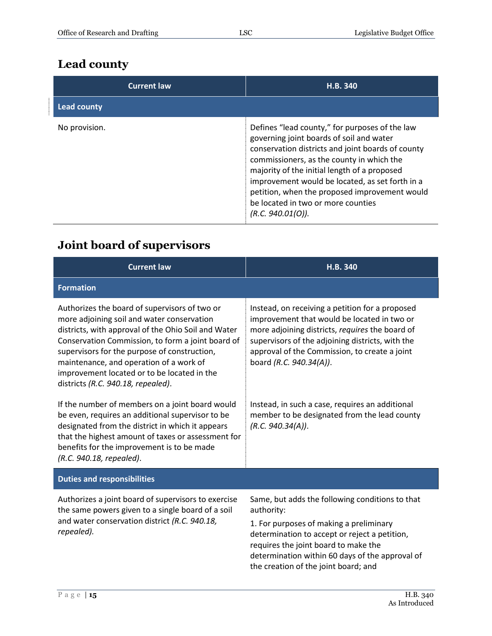#### <span id="page-14-0"></span>**Lead county**

| <b>Current law</b> | H.B. 340                                                                                                                                                                                                                                                                                                                                                                                                    |
|--------------------|-------------------------------------------------------------------------------------------------------------------------------------------------------------------------------------------------------------------------------------------------------------------------------------------------------------------------------------------------------------------------------------------------------------|
| Lead county        |                                                                                                                                                                                                                                                                                                                                                                                                             |
| No provision.      | Defines "lead county," for purposes of the law<br>governing joint boards of soil and water<br>conservation districts and joint boards of county<br>commissioners, as the county in which the<br>majority of the initial length of a proposed<br>improvement would be located, as set forth in a<br>petition, when the proposed improvement would<br>be located in two or more counties<br>(R.C. 940.01(O)). |

#### <span id="page-14-1"></span>**Joint board of supervisors**

| <b>Current law</b>                                                                                                                                                                                                                                                                                                                                                                      | H.B. 340                                                                                                                                                                                                                                                                                     |
|-----------------------------------------------------------------------------------------------------------------------------------------------------------------------------------------------------------------------------------------------------------------------------------------------------------------------------------------------------------------------------------------|----------------------------------------------------------------------------------------------------------------------------------------------------------------------------------------------------------------------------------------------------------------------------------------------|
| <b>Formation</b>                                                                                                                                                                                                                                                                                                                                                                        |                                                                                                                                                                                                                                                                                              |
| Authorizes the board of supervisors of two or<br>more adjoining soil and water conservation<br>districts, with approval of the Ohio Soil and Water<br>Conservation Commission, to form a joint board of<br>supervisors for the purpose of construction,<br>maintenance, and operation of a work of<br>improvement located or to be located in the<br>districts (R.C. 940.18, repealed). | Instead, on receiving a petition for a proposed<br>improvement that would be located in two or<br>more adjoining districts, requires the board of<br>supervisors of the adjoining districts, with the<br>approval of the Commission, to create a joint<br>board (R.C. 940.34(A)).            |
| If the number of members on a joint board would<br>be even, requires an additional supervisor to be<br>designated from the district in which it appears<br>that the highest amount of taxes or assessment for<br>benefits for the improvement is to be made<br>(R.C. 940.18, repealed).                                                                                                 | Instead, in such a case, requires an additional<br>member to be designated from the lead county<br>(R.C. 940.34(A)).                                                                                                                                                                         |
| <b>Duties and responsibilities</b>                                                                                                                                                                                                                                                                                                                                                      |                                                                                                                                                                                                                                                                                              |
| Authorizes a joint board of supervisors to exercise<br>the same powers given to a single board of a soil<br>and water conservation district (R.C. 940.18,<br>repealed).                                                                                                                                                                                                                 | Same, but adds the following conditions to that<br>authority:<br>1. For purposes of making a preliminary<br>determination to accept or reject a petition,<br>requires the joint board to make the<br>determination within 60 days of the approval of<br>the creation of the joint board; and |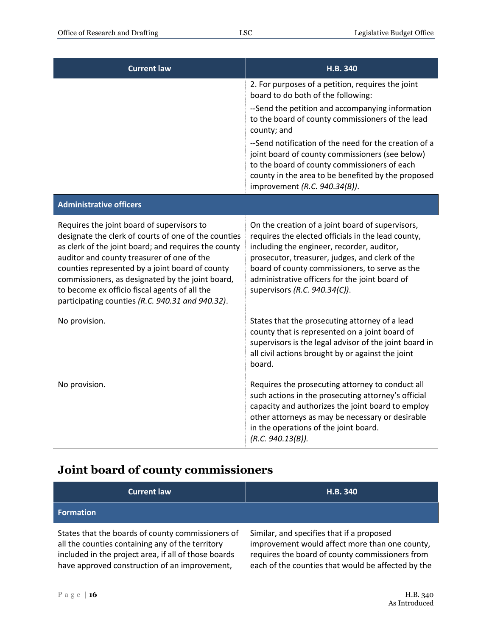| <b>Current law</b>                                                                                                                                                                                                                                                                                                                                                                                                   | H.B. 340                                                                                                                                                                                                                                                                                                                                     |
|----------------------------------------------------------------------------------------------------------------------------------------------------------------------------------------------------------------------------------------------------------------------------------------------------------------------------------------------------------------------------------------------------------------------|----------------------------------------------------------------------------------------------------------------------------------------------------------------------------------------------------------------------------------------------------------------------------------------------------------------------------------------------|
|                                                                                                                                                                                                                                                                                                                                                                                                                      | 2. For purposes of a petition, requires the joint<br>board to do both of the following:                                                                                                                                                                                                                                                      |
|                                                                                                                                                                                                                                                                                                                                                                                                                      | --Send the petition and accompanying information<br>to the board of county commissioners of the lead<br>county; and                                                                                                                                                                                                                          |
|                                                                                                                                                                                                                                                                                                                                                                                                                      | --Send notification of the need for the creation of a<br>joint board of county commissioners (see below)<br>to the board of county commissioners of each<br>county in the area to be benefited by the proposed<br>improvement (R.C. 940.34(B)).                                                                                              |
| <b>Administrative officers</b>                                                                                                                                                                                                                                                                                                                                                                                       |                                                                                                                                                                                                                                                                                                                                              |
| Requires the joint board of supervisors to<br>designate the clerk of courts of one of the counties<br>as clerk of the joint board; and requires the county<br>auditor and county treasurer of one of the<br>counties represented by a joint board of county<br>commissioners, as designated by the joint board,<br>to become ex officio fiscal agents of all the<br>participating counties (R.C. 940.31 and 940.32). | On the creation of a joint board of supervisors,<br>requires the elected officials in the lead county,<br>including the engineer, recorder, auditor,<br>prosecutor, treasurer, judges, and clerk of the<br>board of county commissioners, to serve as the<br>administrative officers for the joint board of<br>supervisors (R.C. 940.34(C)). |
| No provision.                                                                                                                                                                                                                                                                                                                                                                                                        | States that the prosecuting attorney of a lead<br>county that is represented on a joint board of<br>supervisors is the legal advisor of the joint board in<br>all civil actions brought by or against the joint<br>board.                                                                                                                    |
| No provision.                                                                                                                                                                                                                                                                                                                                                                                                        | Requires the prosecuting attorney to conduct all<br>such actions in the prosecuting attorney's official<br>capacity and authorizes the joint board to employ<br>other attorneys as may be necessary or desirable<br>in the operations of the joint board.<br>(R.C. 940.13(B)).                                                               |

## <span id="page-15-0"></span>**Joint board of county commissioners**

| <b>Current law</b>                                                                                                                                                                                             | H.B. 340                                                                                                                                                                                             |
|----------------------------------------------------------------------------------------------------------------------------------------------------------------------------------------------------------------|------------------------------------------------------------------------------------------------------------------------------------------------------------------------------------------------------|
| <b>Formation</b>                                                                                                                                                                                               |                                                                                                                                                                                                      |
| States that the boards of county commissioners of<br>all the counties containing any of the territory<br>included in the project area, if all of those boards<br>have approved construction of an improvement, | Similar, and specifies that if a proposed<br>improvement would affect more than one county,<br>requires the board of county commissioners from<br>each of the counties that would be affected by the |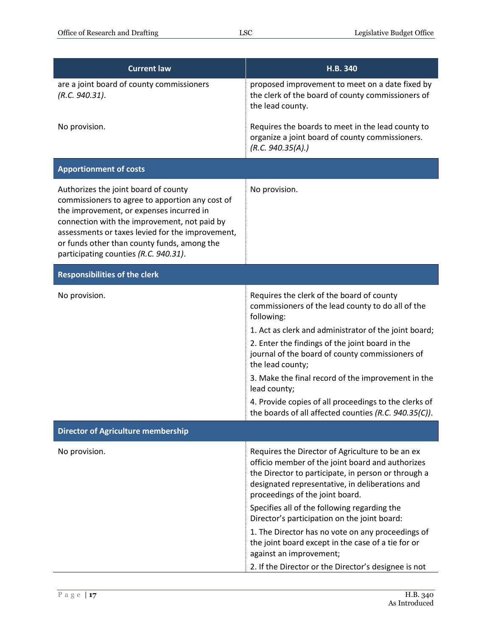| <b>Current law</b>                                                                                                                                                                                                                                                                                                              | H.B. 340                                                                                                                                                                                                                                                                                                                                                                                                                                                                                                                                        |
|---------------------------------------------------------------------------------------------------------------------------------------------------------------------------------------------------------------------------------------------------------------------------------------------------------------------------------|-------------------------------------------------------------------------------------------------------------------------------------------------------------------------------------------------------------------------------------------------------------------------------------------------------------------------------------------------------------------------------------------------------------------------------------------------------------------------------------------------------------------------------------------------|
| are a joint board of county commissioners<br>(R.C. 940.31).                                                                                                                                                                                                                                                                     | proposed improvement to meet on a date fixed by<br>the clerk of the board of county commissioners of<br>the lead county.                                                                                                                                                                                                                                                                                                                                                                                                                        |
| No provision.                                                                                                                                                                                                                                                                                                                   | Requires the boards to meet in the lead county to<br>organize a joint board of county commissioners.<br>(R.C. 940.35(A))                                                                                                                                                                                                                                                                                                                                                                                                                        |
| <b>Apportionment of costs</b>                                                                                                                                                                                                                                                                                                   |                                                                                                                                                                                                                                                                                                                                                                                                                                                                                                                                                 |
| Authorizes the joint board of county<br>commissioners to agree to apportion any cost of<br>the improvement, or expenses incurred in<br>connection with the improvement, not paid by<br>assessments or taxes levied for the improvement,<br>or funds other than county funds, among the<br>participating counties (R.C. 940.31). | No provision.                                                                                                                                                                                                                                                                                                                                                                                                                                                                                                                                   |
| <b>Responsibilities of the clerk</b>                                                                                                                                                                                                                                                                                            |                                                                                                                                                                                                                                                                                                                                                                                                                                                                                                                                                 |
| No provision.                                                                                                                                                                                                                                                                                                                   | Requires the clerk of the board of county<br>commissioners of the lead county to do all of the<br>following:<br>1. Act as clerk and administrator of the joint board;<br>2. Enter the findings of the joint board in the<br>journal of the board of county commissioners of<br>the lead county;<br>3. Make the final record of the improvement in the<br>lead county;<br>4. Provide copies of all proceedings to the clerks of<br>the boards of all affected counties (R.C. 940.35(C)).                                                         |
| <b>Director of Agriculture membership</b>                                                                                                                                                                                                                                                                                       |                                                                                                                                                                                                                                                                                                                                                                                                                                                                                                                                                 |
| No provision.                                                                                                                                                                                                                                                                                                                   | Requires the Director of Agriculture to be an ex<br>officio member of the joint board and authorizes<br>the Director to participate, in person or through a<br>designated representative, in deliberations and<br>proceedings of the joint board.<br>Specifies all of the following regarding the<br>Director's participation on the joint board:<br>1. The Director has no vote on any proceedings of<br>the joint board except in the case of a tie for or<br>against an improvement;<br>2. If the Director or the Director's designee is not |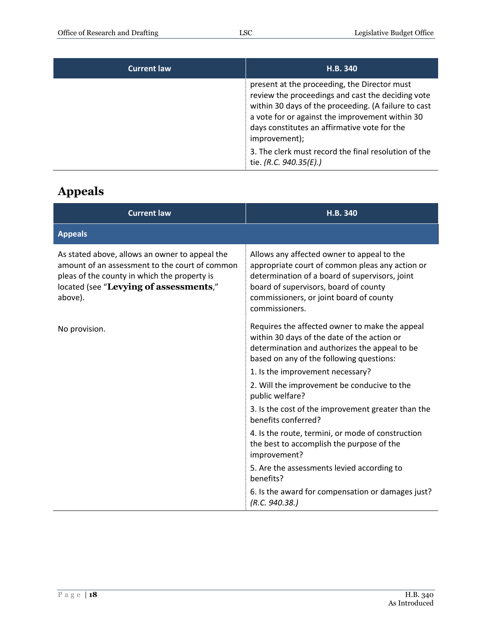| <b>Current law</b> | H.B. 340                                                                                                                                                                                                                                                                      |
|--------------------|-------------------------------------------------------------------------------------------------------------------------------------------------------------------------------------------------------------------------------------------------------------------------------|
|                    | present at the proceeding, the Director must<br>review the proceedings and cast the deciding vote<br>within 30 days of the proceeding. (A failure to cast<br>a vote for or against the improvement within 30<br>days constitutes an affirmative vote for the<br>improvement); |
|                    | 3. The clerk must record the final resolution of the<br>tie. (R.C. 940.35(E).)                                                                                                                                                                                                |

#### <span id="page-17-0"></span>**Appeals**

| <b>Current law</b>                                                                                                                                                                                    | H.B. 340                                                                                                                                                                                                                                              |
|-------------------------------------------------------------------------------------------------------------------------------------------------------------------------------------------------------|-------------------------------------------------------------------------------------------------------------------------------------------------------------------------------------------------------------------------------------------------------|
| <b>Appeals</b>                                                                                                                                                                                        |                                                                                                                                                                                                                                                       |
| As stated above, allows an owner to appeal the<br>amount of an assessment to the court of common<br>pleas of the county in which the property is<br>located (see "Levying of assessments,"<br>above). | Allows any affected owner to appeal to the<br>appropriate court of common pleas any action or<br>determination of a board of supervisors, joint<br>board of supervisors, board of county<br>commissioners, or joint board of county<br>commissioners. |
| No provision.                                                                                                                                                                                         | Requires the affected owner to make the appeal<br>within 30 days of the date of the action or<br>determination and authorizes the appeal to be<br>based on any of the following questions:                                                            |
|                                                                                                                                                                                                       | 1. Is the improvement necessary?                                                                                                                                                                                                                      |
|                                                                                                                                                                                                       | 2. Will the improvement be conducive to the<br>public welfare?                                                                                                                                                                                        |
|                                                                                                                                                                                                       | 3. Is the cost of the improvement greater than the<br>benefits conferred?                                                                                                                                                                             |
|                                                                                                                                                                                                       | 4. Is the route, termini, or mode of construction<br>the best to accomplish the purpose of the<br>improvement?                                                                                                                                        |
|                                                                                                                                                                                                       | 5. Are the assessments levied according to<br>benefits?                                                                                                                                                                                               |
|                                                                                                                                                                                                       | 6. Is the award for compensation or damages just?<br>(R.C. 940.38.)                                                                                                                                                                                   |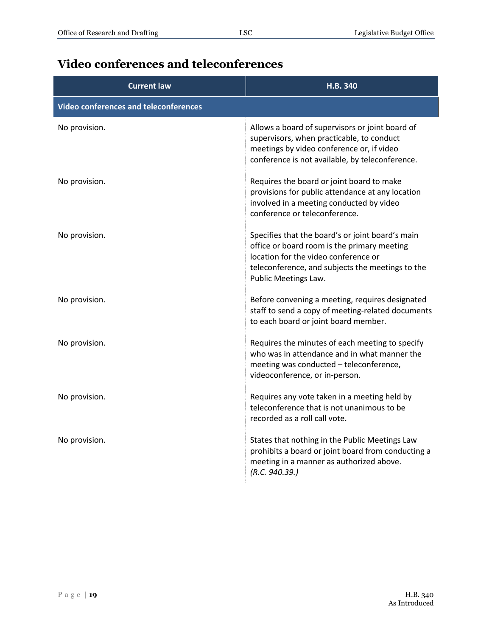#### <span id="page-18-0"></span>**Video conferences and teleconferences**

| <b>Current law</b>                           | H.B. 340                                                                                                                                                                                                            |
|----------------------------------------------|---------------------------------------------------------------------------------------------------------------------------------------------------------------------------------------------------------------------|
| <b>Video conferences and teleconferences</b> |                                                                                                                                                                                                                     |
| No provision.                                | Allows a board of supervisors or joint board of<br>supervisors, when practicable, to conduct<br>meetings by video conference or, if video<br>conference is not available, by teleconference.                        |
| No provision.                                | Requires the board or joint board to make<br>provisions for public attendance at any location<br>involved in a meeting conducted by video<br>conference or teleconference.                                          |
| No provision.                                | Specifies that the board's or joint board's main<br>office or board room is the primary meeting<br>location for the video conference or<br>teleconference, and subjects the meetings to the<br>Public Meetings Law. |
| No provision.                                | Before convening a meeting, requires designated<br>staff to send a copy of meeting-related documents<br>to each board or joint board member.                                                                        |
| No provision.                                | Requires the minutes of each meeting to specify<br>who was in attendance and in what manner the<br>meeting was conducted - teleconference,<br>videoconference, or in-person.                                        |
| No provision.                                | Requires any vote taken in a meeting held by<br>teleconference that is not unanimous to be<br>recorded as a roll call vote.                                                                                         |
| No provision.                                | States that nothing in the Public Meetings Law<br>prohibits a board or joint board from conducting a<br>meeting in a manner as authorized above.<br>(R.C. 940.39.)                                                  |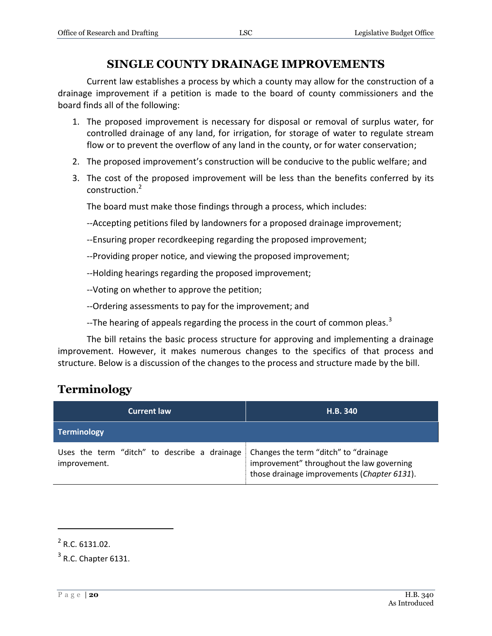#### **SINGLE COUNTY DRAINAGE IMPROVEMENTS**

<span id="page-19-0"></span>Current law establishes a process by which a county may allow for the construction of a drainage improvement if a petition is made to the board of county commissioners and the board finds all of the following:

- 1. The proposed improvement is necessary for disposal or removal of surplus water, for controlled drainage of any land, for irrigation, for storage of water to regulate stream flow or to prevent the overflow of any land in the county, or for water conservation;
- 2. The proposed improvement's construction will be conducive to the public welfare; and
- 3. The cost of the proposed improvement will be less than the benefits conferred by its construction.<sup>2</sup>

The board must make those findings through a process, which includes:

- --Accepting petitions filed by landowners for a proposed drainage improvement;
- --Ensuring proper recordkeeping regarding the proposed improvement;
- --Providing proper notice, and viewing the proposed improvement;
- --Holding hearings regarding the proposed improvement;

--Voting on whether to approve the petition;

- --Ordering assessments to pay for the improvement; and
- --The hearing of appeals regarding the process in the court of common pleas.<sup>3</sup>

The bill retains the basic process structure for approving and implementing a drainage improvement. However, it makes numerous changes to the specifics of that process and structure. Below is a discussion of the changes to the process and structure made by the bill.

#### <span id="page-19-1"></span>**Terminology**

| <b>Current law</b>                                           | H.B. 340                                                                                                                          |
|--------------------------------------------------------------|-----------------------------------------------------------------------------------------------------------------------------------|
| <b>Terminology</b>                                           |                                                                                                                                   |
| Uses the term "ditch" to describe a drainage<br>improvement. | Changes the term "ditch" to "drainage<br>improvement" throughout the law governing<br>those drainage improvements (Chapter 6131). |

 $\overline{a}$ 

 $2^2$  R.C. 6131.02.

 $3$  R.C. Chapter 6131.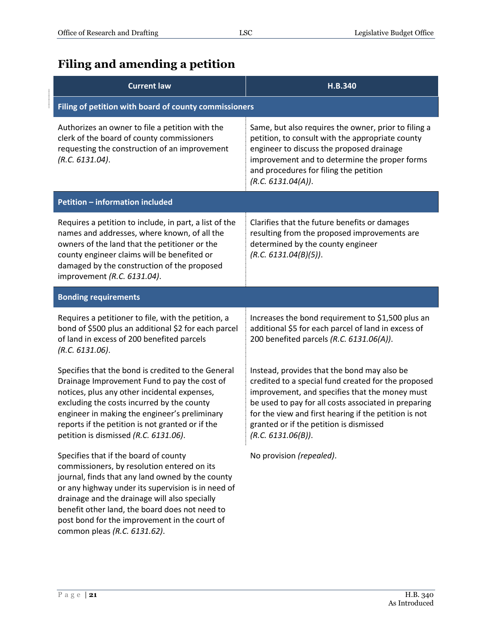#### <span id="page-20-0"></span>**Filing and amending a petition**

| <b>Current law</b>                                                                                                                                                                                                                                                                                                                                 | H.B.340                                                                                                                                                                                                                                                                                                                                |  |
|----------------------------------------------------------------------------------------------------------------------------------------------------------------------------------------------------------------------------------------------------------------------------------------------------------------------------------------------------|----------------------------------------------------------------------------------------------------------------------------------------------------------------------------------------------------------------------------------------------------------------------------------------------------------------------------------------|--|
| Filing of petition with board of county commissioners                                                                                                                                                                                                                                                                                              |                                                                                                                                                                                                                                                                                                                                        |  |
| Authorizes an owner to file a petition with the<br>clerk of the board of county commissioners<br>requesting the construction of an improvement<br>(R.C. 6131.04).                                                                                                                                                                                  | Same, but also requires the owner, prior to filing a<br>petition, to consult with the appropriate county<br>engineer to discuss the proposed drainage<br>improvement and to determine the proper forms<br>and procedures for filing the petition<br>(R.C. 6131.04(A)).                                                                 |  |
| Petition - information included                                                                                                                                                                                                                                                                                                                    |                                                                                                                                                                                                                                                                                                                                        |  |
| Requires a petition to include, in part, a list of the<br>names and addresses, where known, of all the<br>owners of the land that the petitioner or the<br>county engineer claims will be benefited or<br>damaged by the construction of the proposed<br>improvement (R.C. 6131.04).                                                               | Clarifies that the future benefits or damages<br>resulting from the proposed improvements are<br>determined by the county engineer<br>(R.C. 6131.04(B)(5)).                                                                                                                                                                            |  |
| <b>Bonding requirements</b>                                                                                                                                                                                                                                                                                                                        |                                                                                                                                                                                                                                                                                                                                        |  |
| Requires a petitioner to file, with the petition, a<br>bond of \$500 plus an additional \$2 for each parcel<br>of land in excess of 200 benefited parcels<br>(R.C. 6131.06).                                                                                                                                                                       | Increases the bond requirement to \$1,500 plus an<br>additional \$5 for each parcel of land in excess of<br>200 benefited parcels (R.C. 6131.06(A)).                                                                                                                                                                                   |  |
| Specifies that the bond is credited to the General<br>Drainage Improvement Fund to pay the cost of<br>notices, plus any other incidental expenses,<br>excluding the costs incurred by the county<br>engineer in making the engineer's preliminary<br>reports if the petition is not granted or if the<br>petition is dismissed (R.C. 6131.06).     | Instead, provides that the bond may also be<br>credited to a special fund created for the proposed<br>improvement, and specifies that the money must<br>be used to pay for all costs associated in preparing<br>for the view and first hearing if the petition is not<br>granted or if the petition is dismissed<br>(R.C. 6131.06(B)). |  |
| Specifies that if the board of county<br>commissioners, by resolution entered on its<br>journal, finds that any land owned by the county<br>or any highway under its supervision is in need of<br>drainage and the drainage will also specially<br>benefit other land, the board does not need to<br>post bond for the improvement in the court of | No provision (repealed).                                                                                                                                                                                                                                                                                                               |  |

common pleas *(R.C. 6131.62)*.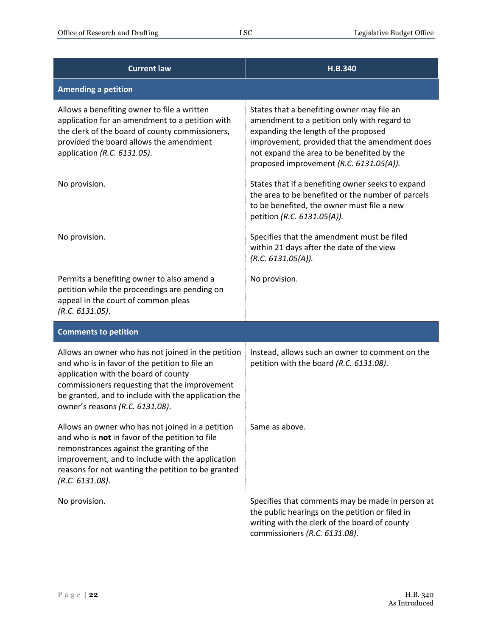$\begin{array}{c} \begin{array}{c} \begin{array}{c} \begin{array}{c} \end{array} \\ \begin{array}{c} \end{array} \end{array} \end{array} \end{array}$ 

| <b>Current law</b>                                                                                                                                                                                                                                                                      | H.B.340                                                                                                                                                                                                                                                                     |
|-----------------------------------------------------------------------------------------------------------------------------------------------------------------------------------------------------------------------------------------------------------------------------------------|-----------------------------------------------------------------------------------------------------------------------------------------------------------------------------------------------------------------------------------------------------------------------------|
| <b>Amending a petition</b>                                                                                                                                                                                                                                                              |                                                                                                                                                                                                                                                                             |
| Allows a benefiting owner to file a written<br>application for an amendment to a petition with<br>the clerk of the board of county commissioners,<br>provided the board allows the amendment<br>application (R.C. 6131.05).                                                             | States that a benefiting owner may file an<br>amendment to a petition only with regard to<br>expanding the length of the proposed<br>improvement, provided that the amendment does<br>not expand the area to be benefited by the<br>proposed improvement (R.C. 6131.05(A)). |
| No provision.                                                                                                                                                                                                                                                                           | States that if a benefiting owner seeks to expand<br>the area to be benefited or the number of parcels<br>to be benefited, the owner must file a new<br>petition (R.C. 6131.05(A)).                                                                                         |
| No provision.                                                                                                                                                                                                                                                                           | Specifies that the amendment must be filed<br>within 21 days after the date of the view<br>(R.C. 6131.05(A)).                                                                                                                                                               |
| Permits a benefiting owner to also amend a<br>petition while the proceedings are pending on<br>appeal in the court of common pleas<br>(R.C. 6131.05).                                                                                                                                   | No provision.                                                                                                                                                                                                                                                               |
| <b>Comments to petition</b>                                                                                                                                                                                                                                                             |                                                                                                                                                                                                                                                                             |
| Allows an owner who has not joined in the petition<br>and who is in favor of the petition to file an<br>application with the board of county<br>commissioners requesting that the improvement<br>be granted, and to include with the application the<br>owner's reasons (R.C. 6131.08). | Instead, allows such an owner to comment on the<br>petition with the board (R.C. 6131.08).                                                                                                                                                                                  |
| Allows an owner who has not joined in a petition<br>and who is not in favor of the petition to file<br>remonstrances against the granting of the<br>improvement, and to include with the application<br>reasons for not wanting the petition to be granted<br>(R.C. 6131.08).           | Same as above.                                                                                                                                                                                                                                                              |
| No provision.                                                                                                                                                                                                                                                                           | Specifies that comments may be made in person at<br>the public hearings on the petition or filed in<br>writing with the clerk of the board of county<br>commissioners (R.C. 6131.08).                                                                                       |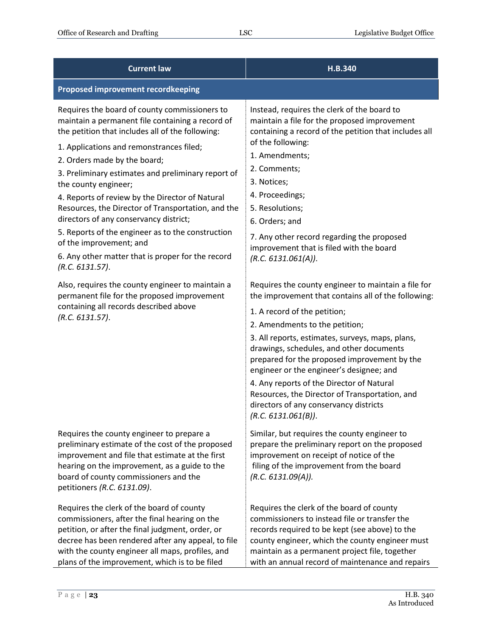| <b>Current law</b>                                                                                                                                                                                                                                                                                                                                                                                                                                                                                                                                                                                                                                                                                                                                                                         | H.B.340                                                                                                                                                                                                                                                                                                                                                                                                                                                                                                                                                                                                                                                                                                                                                                                                                                                                                                                                         |
|--------------------------------------------------------------------------------------------------------------------------------------------------------------------------------------------------------------------------------------------------------------------------------------------------------------------------------------------------------------------------------------------------------------------------------------------------------------------------------------------------------------------------------------------------------------------------------------------------------------------------------------------------------------------------------------------------------------------------------------------------------------------------------------------|-------------------------------------------------------------------------------------------------------------------------------------------------------------------------------------------------------------------------------------------------------------------------------------------------------------------------------------------------------------------------------------------------------------------------------------------------------------------------------------------------------------------------------------------------------------------------------------------------------------------------------------------------------------------------------------------------------------------------------------------------------------------------------------------------------------------------------------------------------------------------------------------------------------------------------------------------|
| <b>Proposed improvement recordkeeping</b>                                                                                                                                                                                                                                                                                                                                                                                                                                                                                                                                                                                                                                                                                                                                                  |                                                                                                                                                                                                                                                                                                                                                                                                                                                                                                                                                                                                                                                                                                                                                                                                                                                                                                                                                 |
| Requires the board of county commissioners to<br>maintain a permanent file containing a record of<br>the petition that includes all of the following:<br>1. Applications and remonstrances filed;<br>2. Orders made by the board;<br>3. Preliminary estimates and preliminary report of<br>the county engineer;<br>4. Reports of review by the Director of Natural<br>Resources, the Director of Transportation, and the<br>directors of any conservancy district;<br>5. Reports of the engineer as to the construction<br>of the improvement; and<br>6. Any other matter that is proper for the record<br>(R.C. 6131.57).<br>Also, requires the county engineer to maintain a<br>permanent file for the proposed improvement<br>containing all records described above<br>(R.C. 6131.57). | Instead, requires the clerk of the board to<br>maintain a file for the proposed improvement<br>containing a record of the petition that includes all<br>of the following:<br>1. Amendments;<br>2. Comments;<br>3. Notices;<br>4. Proceedings;<br>5. Resolutions;<br>6. Orders; and<br>7. Any other record regarding the proposed<br>improvement that is filed with the board<br>(R.C. 6131.061(A)).<br>Requires the county engineer to maintain a file for<br>the improvement that contains all of the following:<br>1. A record of the petition;<br>2. Amendments to the petition;<br>3. All reports, estimates, surveys, maps, plans,<br>drawings, schedules, and other documents<br>prepared for the proposed improvement by the<br>engineer or the engineer's designee; and<br>4. Any reports of the Director of Natural<br>Resources, the Director of Transportation, and<br>directors of any conservancy districts<br>(R.C. 6131.061(B)). |
| Requires the county engineer to prepare a<br>preliminary estimate of the cost of the proposed<br>improvement and file that estimate at the first<br>hearing on the improvement, as a guide to the<br>board of county commissioners and the<br>petitioners (R.C. 6131.09).                                                                                                                                                                                                                                                                                                                                                                                                                                                                                                                  | Similar, but requires the county engineer to<br>prepare the preliminary report on the proposed<br>improvement on receipt of notice of the<br>filing of the improvement from the board<br>(R.C. 6131.09(A)).                                                                                                                                                                                                                                                                                                                                                                                                                                                                                                                                                                                                                                                                                                                                     |
| Requires the clerk of the board of county<br>commissioners, after the final hearing on the<br>petition, or after the final judgment, order, or<br>decree has been rendered after any appeal, to file<br>with the county engineer all maps, profiles, and<br>plans of the improvement, which is to be filed                                                                                                                                                                                                                                                                                                                                                                                                                                                                                 | Requires the clerk of the board of county<br>commissioners to instead file or transfer the<br>records required to be kept (see above) to the<br>county engineer, which the county engineer must<br>maintain as a permanent project file, together<br>with an annual record of maintenance and repairs                                                                                                                                                                                                                                                                                                                                                                                                                                                                                                                                                                                                                                           |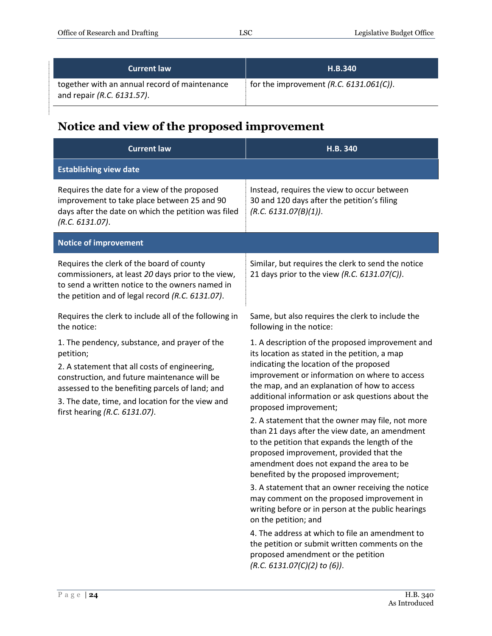| <b>Current law</b>                                                          | <b>H.B.340</b>                             |
|-----------------------------------------------------------------------------|--------------------------------------------|
| together with an annual record of maintenance<br>and repair (R.C. 6131.57). | for the improvement $(R.C. 6131.061(C))$ . |

## <span id="page-23-0"></span>**Notice and view of the proposed improvement**

| <b>Current law</b>                                                                                                                                                                                                                                                                                  | H.B. 340                                                                                                                                                                                                                                                                                                                                                                                                                                                                                                                                                                                                                                                                                                                                                                                                                                                                                                                                                                           |
|-----------------------------------------------------------------------------------------------------------------------------------------------------------------------------------------------------------------------------------------------------------------------------------------------------|------------------------------------------------------------------------------------------------------------------------------------------------------------------------------------------------------------------------------------------------------------------------------------------------------------------------------------------------------------------------------------------------------------------------------------------------------------------------------------------------------------------------------------------------------------------------------------------------------------------------------------------------------------------------------------------------------------------------------------------------------------------------------------------------------------------------------------------------------------------------------------------------------------------------------------------------------------------------------------|
| <b>Establishing view date</b>                                                                                                                                                                                                                                                                       |                                                                                                                                                                                                                                                                                                                                                                                                                                                                                                                                                                                                                                                                                                                                                                                                                                                                                                                                                                                    |
| Requires the date for a view of the proposed<br>improvement to take place between 25 and 90<br>days after the date on which the petition was filed<br>(R.C. 6131.07).                                                                                                                               | Instead, requires the view to occur between<br>30 and 120 days after the petition's filing<br>(R.C. 6131.07(B)(1)).                                                                                                                                                                                                                                                                                                                                                                                                                                                                                                                                                                                                                                                                                                                                                                                                                                                                |
| <b>Notice of improvement</b>                                                                                                                                                                                                                                                                        |                                                                                                                                                                                                                                                                                                                                                                                                                                                                                                                                                                                                                                                                                                                                                                                                                                                                                                                                                                                    |
| Requires the clerk of the board of county<br>commissioners, at least 20 days prior to the view,<br>to send a written notice to the owners named in<br>the petition and of legal record (R.C. 6131.07).                                                                                              | Similar, but requires the clerk to send the notice<br>21 days prior to the view (R.C. 6131.07(C)).                                                                                                                                                                                                                                                                                                                                                                                                                                                                                                                                                                                                                                                                                                                                                                                                                                                                                 |
| Requires the clerk to include all of the following in<br>the notice:                                                                                                                                                                                                                                | Same, but also requires the clerk to include the<br>following in the notice:                                                                                                                                                                                                                                                                                                                                                                                                                                                                                                                                                                                                                                                                                                                                                                                                                                                                                                       |
| 1. The pendency, substance, and prayer of the<br>petition;<br>2. A statement that all costs of engineering,<br>construction, and future maintenance will be<br>assessed to the benefiting parcels of land; and<br>3. The date, time, and location for the view and<br>first hearing (R.C. 6131.07). | 1. A description of the proposed improvement and<br>its location as stated in the petition, a map<br>indicating the location of the proposed<br>improvement or information on where to access<br>the map, and an explanation of how to access<br>additional information or ask questions about the<br>proposed improvement;<br>2. A statement that the owner may file, not more<br>than 21 days after the view date, an amendment<br>to the petition that expands the length of the<br>proposed improvement, provided that the<br>amendment does not expand the area to be<br>benefited by the proposed improvement;<br>3. A statement that an owner receiving the notice<br>may comment on the proposed improvement in<br>writing before or in person at the public hearings<br>on the petition; and<br>4. The address at which to file an amendment to<br>the petition or submit written comments on the<br>proposed amendment or the petition<br>$(R.C. 6131.07(C)(2)$ to (6)). |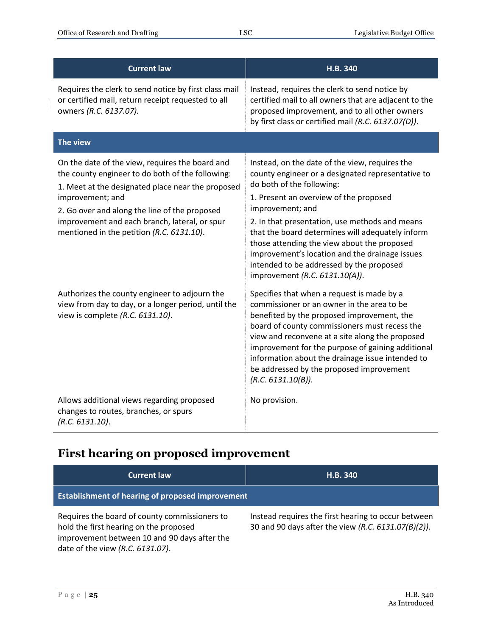| <b>Current law</b>                                                                                                                                                                                                                                                                                                          | H.B. 340                                                                                                                                                                                                                                                                                                                                                                                                                                                                            |
|-----------------------------------------------------------------------------------------------------------------------------------------------------------------------------------------------------------------------------------------------------------------------------------------------------------------------------|-------------------------------------------------------------------------------------------------------------------------------------------------------------------------------------------------------------------------------------------------------------------------------------------------------------------------------------------------------------------------------------------------------------------------------------------------------------------------------------|
| Requires the clerk to send notice by first class mail<br>or certified mail, return receipt requested to all<br>owners (R.C. 6137.07).                                                                                                                                                                                       | Instead, requires the clerk to send notice by<br>certified mail to all owners that are adjacent to the<br>proposed improvement, and to all other owners<br>by first class or certified mail (R.C. 6137.07(D)).                                                                                                                                                                                                                                                                      |
| The view                                                                                                                                                                                                                                                                                                                    |                                                                                                                                                                                                                                                                                                                                                                                                                                                                                     |
| On the date of the view, requires the board and<br>the county engineer to do both of the following:<br>1. Meet at the designated place near the proposed<br>improvement; and<br>2. Go over and along the line of the proposed<br>improvement and each branch, lateral, or spur<br>mentioned in the petition (R.C. 6131.10). | Instead, on the date of the view, requires the<br>county engineer or a designated representative to<br>do both of the following:<br>1. Present an overview of the proposed<br>improvement; and<br>2. In that presentation, use methods and means<br>that the board determines will adequately inform<br>those attending the view about the proposed<br>improvement's location and the drainage issues<br>intended to be addressed by the proposed<br>improvement (R.C. 6131.10(A)). |
| Authorizes the county engineer to adjourn the<br>view from day to day, or a longer period, until the<br>view is complete (R.C. 6131.10).                                                                                                                                                                                    | Specifies that when a request is made by a<br>commissioner or an owner in the area to be<br>benefited by the proposed improvement, the<br>board of county commissioners must recess the<br>view and reconvene at a site along the proposed<br>improvement for the purpose of gaining additional<br>information about the drainage issue intended to<br>be addressed by the proposed improvement<br>(R.C. 6131.10(B)).                                                               |
| Allows additional views regarding proposed<br>changes to routes, branches, or spurs<br>(R.C. 6131.10).                                                                                                                                                                                                                      | No provision.                                                                                                                                                                                                                                                                                                                                                                                                                                                                       |

## <span id="page-24-0"></span>**First hearing on proposed improvement**

| <b>Current law</b>                                                                                                                                                          | H.B. 340                                                                                                   |
|-----------------------------------------------------------------------------------------------------------------------------------------------------------------------------|------------------------------------------------------------------------------------------------------------|
| <b>Establishment of hearing of proposed improvement</b>                                                                                                                     |                                                                                                            |
| Requires the board of county commissioners to<br>hold the first hearing on the proposed<br>improvement between 10 and 90 days after the<br>date of the view (R.C. 6131.07). | Instead requires the first hearing to occur between<br>30 and 90 days after the view (R.C. 6131.07(B)(2)). |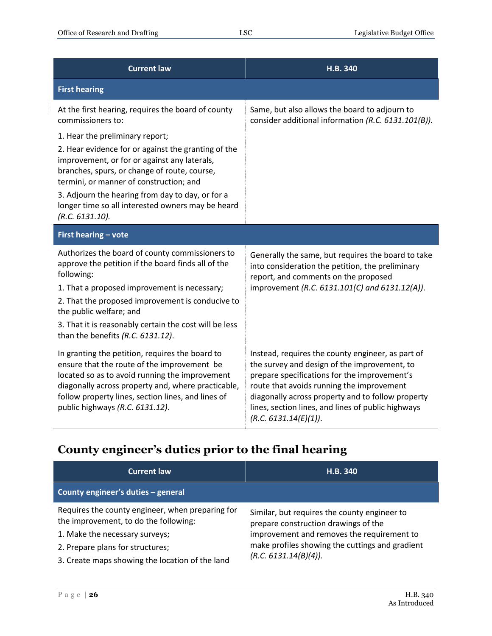| <b>Current law</b>                                                                                                                                                                                                                                                                                                                                | H.B. 340                                                                                                                                                                                                                                                                                                                           |
|---------------------------------------------------------------------------------------------------------------------------------------------------------------------------------------------------------------------------------------------------------------------------------------------------------------------------------------------------|------------------------------------------------------------------------------------------------------------------------------------------------------------------------------------------------------------------------------------------------------------------------------------------------------------------------------------|
| <b>First hearing</b>                                                                                                                                                                                                                                                                                                                              |                                                                                                                                                                                                                                                                                                                                    |
| At the first hearing, requires the board of county<br>commissioners to:                                                                                                                                                                                                                                                                           | Same, but also allows the board to adjourn to<br>consider additional information (R.C. 6131.101(B)).                                                                                                                                                                                                                               |
| 1. Hear the preliminary report;                                                                                                                                                                                                                                                                                                                   |                                                                                                                                                                                                                                                                                                                                    |
| 2. Hear evidence for or against the granting of the<br>improvement, or for or against any laterals,<br>branches, spurs, or change of route, course,<br>termini, or manner of construction; and                                                                                                                                                    |                                                                                                                                                                                                                                                                                                                                    |
| 3. Adjourn the hearing from day to day, or for a<br>longer time so all interested owners may be heard<br>(R.C. 6131.10).                                                                                                                                                                                                                          |                                                                                                                                                                                                                                                                                                                                    |
| First hearing - vote                                                                                                                                                                                                                                                                                                                              |                                                                                                                                                                                                                                                                                                                                    |
| Authorizes the board of county commissioners to<br>approve the petition if the board finds all of the<br>following:<br>1. That a proposed improvement is necessary;<br>2. That the proposed improvement is conducive to<br>the public welfare; and<br>3. That it is reasonably certain the cost will be less<br>than the benefits (R.C. 6131.12). | Generally the same, but requires the board to take<br>into consideration the petition, the preliminary<br>report, and comments on the proposed<br>improvement (R.C. 6131.101(C) and 6131.12(A)).                                                                                                                                   |
| In granting the petition, requires the board to<br>ensure that the route of the improvement be<br>located so as to avoid running the improvement<br>diagonally across property and, where practicable,<br>follow property lines, section lines, and lines of<br>public highways (R.C. 6131.12).                                                   | Instead, requires the county engineer, as part of<br>the survey and design of the improvement, to<br>prepare specifications for the improvement's<br>route that avoids running the improvement<br>diagonally across property and to follow property<br>lines, section lines, and lines of public highways<br>(R.C. 6131.14(E)(1)). |

# <span id="page-25-0"></span>**County engineer's duties prior to the final hearing**

| <b>Current law</b>                                                                        | H.B. 340                                                                             |
|-------------------------------------------------------------------------------------------|--------------------------------------------------------------------------------------|
| County engineer's duties - general                                                        |                                                                                      |
| Requires the county engineer, when preparing for<br>the improvement, to do the following: | Similar, but requires the county engineer to<br>prepare construction drawings of the |
| 1. Make the necessary surveys;                                                            | improvement and removes the requirement to                                           |
| 2. Prepare plans for structures;                                                          | make profiles showing the cuttings and gradient<br>(R.C. 6131.14(B)(4)).             |
| 3. Create maps showing the location of the land                                           |                                                                                      |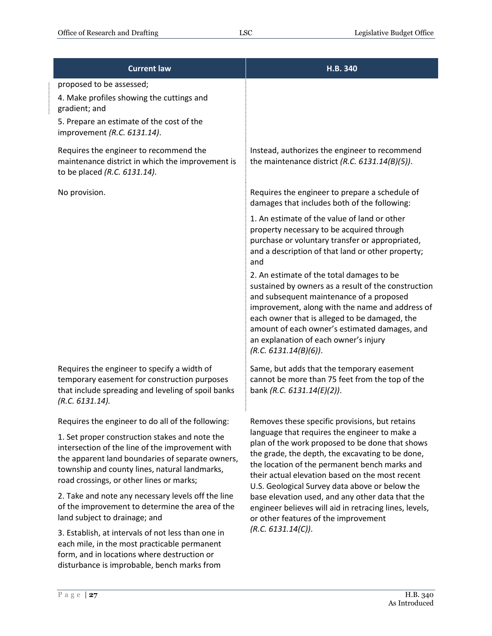| <b>Current law</b>                                                                                                                                                                                                                                  | H.B. 340                                                                                                                                                                                                                                                                                                                                                            |
|-----------------------------------------------------------------------------------------------------------------------------------------------------------------------------------------------------------------------------------------------------|---------------------------------------------------------------------------------------------------------------------------------------------------------------------------------------------------------------------------------------------------------------------------------------------------------------------------------------------------------------------|
| proposed to be assessed;<br>4. Make profiles showing the cuttings and<br>gradient; and<br>5. Prepare an estimate of the cost of the<br>improvement (R.C. 6131.14).                                                                                  |                                                                                                                                                                                                                                                                                                                                                                     |
| Requires the engineer to recommend the<br>maintenance district in which the improvement is<br>to be placed (R.C. 6131.14).                                                                                                                          | Instead, authorizes the engineer to recommend<br>the maintenance district (R.C. $6131.14(B)(5)$ ).                                                                                                                                                                                                                                                                  |
| No provision.                                                                                                                                                                                                                                       | Requires the engineer to prepare a schedule of<br>damages that includes both of the following:                                                                                                                                                                                                                                                                      |
|                                                                                                                                                                                                                                                     | 1. An estimate of the value of land or other<br>property necessary to be acquired through<br>purchase or voluntary transfer or appropriated,<br>and a description of that land or other property;<br>and                                                                                                                                                            |
|                                                                                                                                                                                                                                                     | 2. An estimate of the total damages to be<br>sustained by owners as a result of the construction<br>and subsequent maintenance of a proposed<br>improvement, along with the name and address of<br>each owner that is alleged to be damaged, the<br>amount of each owner's estimated damages, and<br>an explanation of each owner's injury<br>(R.C. 6131.14(B)(6)). |
| Requires the engineer to specify a width of<br>temporary easement for construction purposes<br>that include spreading and leveling of spoil banks<br>(R.C. 6131.14).                                                                                | Same, but adds that the temporary easement<br>cannot be more than 75 feet from the top of the<br>bank (R.C. 6131.14(E)(2)).                                                                                                                                                                                                                                         |
| Requires the engineer to do all of the following:                                                                                                                                                                                                   | Removes these specific provisions, but retains                                                                                                                                                                                                                                                                                                                      |
| 1. Set proper construction stakes and note the<br>intersection of the line of the improvement with<br>the apparent land boundaries of separate owners,<br>township and county lines, natural landmarks,<br>road crossings, or other lines or marks; | language that requires the engineer to make a<br>plan of the work proposed to be done that shows<br>the grade, the depth, the excavating to be done,<br>the location of the permanent bench marks and<br>their actual elevation based on the most recent<br>U.S. Geological Survey data above or below the                                                          |
| 2. Take and note any necessary levels off the line<br>of the improvement to determine the area of the<br>land subject to drainage; and                                                                                                              | base elevation used, and any other data that the<br>engineer believes will aid in retracing lines, levels,<br>or other features of the improvement                                                                                                                                                                                                                  |
| 3. Establish, at intervals of not less than one in<br>each mile, in the most practicable permanent                                                                                                                                                  | (R.C. 6131.14(C)).                                                                                                                                                                                                                                                                                                                                                  |

form, and in locations where destruction or disturbance is improbable, bench marks from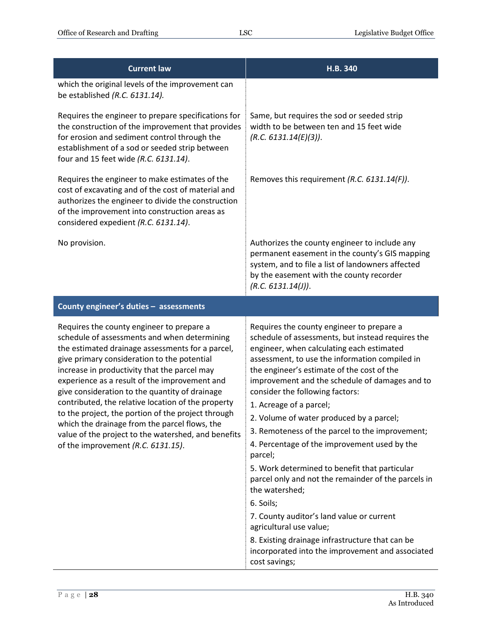| <b>Current law</b>                                                                                                                                                                                                                                                                                                                                                                                                                                                                                                                                                                                        | H.B. 340                                                                                                                                                                                                                                                                                                                                                                                                                                                                                                                                                                                                                                                                                                                                                                                                                                                     |
|-----------------------------------------------------------------------------------------------------------------------------------------------------------------------------------------------------------------------------------------------------------------------------------------------------------------------------------------------------------------------------------------------------------------------------------------------------------------------------------------------------------------------------------------------------------------------------------------------------------|--------------------------------------------------------------------------------------------------------------------------------------------------------------------------------------------------------------------------------------------------------------------------------------------------------------------------------------------------------------------------------------------------------------------------------------------------------------------------------------------------------------------------------------------------------------------------------------------------------------------------------------------------------------------------------------------------------------------------------------------------------------------------------------------------------------------------------------------------------------|
| which the original levels of the improvement can<br>be established (R.C. 6131.14).                                                                                                                                                                                                                                                                                                                                                                                                                                                                                                                        |                                                                                                                                                                                                                                                                                                                                                                                                                                                                                                                                                                                                                                                                                                                                                                                                                                                              |
| Requires the engineer to prepare specifications for<br>the construction of the improvement that provides<br>for erosion and sediment control through the<br>establishment of a sod or seeded strip between<br>four and 15 feet wide (R.C. 6131.14).                                                                                                                                                                                                                                                                                                                                                       | Same, but requires the sod or seeded strip<br>width to be between ten and 15 feet wide<br>(R.C. 6131.14(E)(3)).                                                                                                                                                                                                                                                                                                                                                                                                                                                                                                                                                                                                                                                                                                                                              |
| Requires the engineer to make estimates of the<br>cost of excavating and of the cost of material and<br>authorizes the engineer to divide the construction<br>of the improvement into construction areas as<br>considered expedient (R.C. 6131.14).                                                                                                                                                                                                                                                                                                                                                       | Removes this requirement (R.C. 6131.14(F)).                                                                                                                                                                                                                                                                                                                                                                                                                                                                                                                                                                                                                                                                                                                                                                                                                  |
| No provision.                                                                                                                                                                                                                                                                                                                                                                                                                                                                                                                                                                                             | Authorizes the county engineer to include any<br>permanent easement in the county's GIS mapping<br>system, and to file a list of landowners affected<br>by the easement with the county recorder<br>(R.C. 6131.14(J)).                                                                                                                                                                                                                                                                                                                                                                                                                                                                                                                                                                                                                                       |
| County engineer's duties - assessments                                                                                                                                                                                                                                                                                                                                                                                                                                                                                                                                                                    |                                                                                                                                                                                                                                                                                                                                                                                                                                                                                                                                                                                                                                                                                                                                                                                                                                                              |
| Requires the county engineer to prepare a<br>schedule of assessments and when determining<br>the estimated drainage assessments for a parcel,<br>give primary consideration to the potential<br>increase in productivity that the parcel may<br>experience as a result of the improvement and<br>give consideration to the quantity of drainage<br>contributed, the relative location of the property<br>to the project, the portion of the project through<br>which the drainage from the parcel flows, the<br>value of the project to the watershed, and benefits<br>of the improvement (R.C. 6131.15). | Requires the county engineer to prepare a<br>schedule of assessments, but instead requires the<br>engineer, when calculating each estimated<br>assessment, to use the information compiled in<br>the engineer's estimate of the cost of the<br>improvement and the schedule of damages and to<br>consider the following factors:<br>1. Acreage of a parcel;<br>2. Volume of water produced by a parcel;<br>3. Remoteness of the parcel to the improvement;<br>4. Percentage of the improvement used by the<br>parcel;<br>5. Work determined to benefit that particular<br>parcel only and not the remainder of the parcels in<br>the watershed;<br>6. Soils;<br>7. County auditor's land value or current<br>agricultural use value;<br>8. Existing drainage infrastructure that can be<br>incorporated into the improvement and associated<br>cost savings; |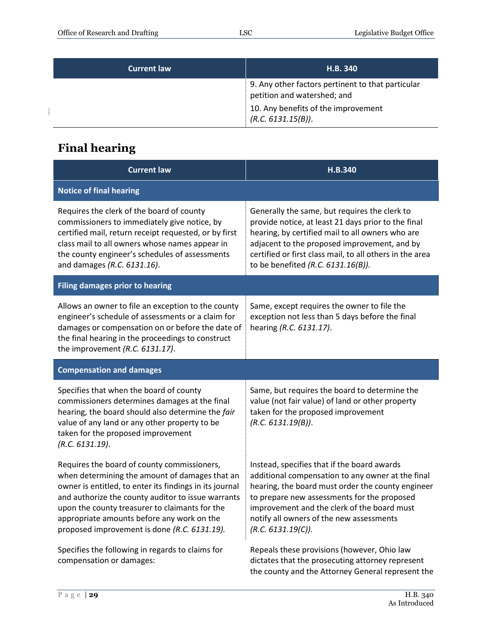| <b>Current law</b> | H.B. 340                                                                         |
|--------------------|----------------------------------------------------------------------------------|
|                    | 9. Any other factors pertinent to that particular<br>petition and watershed; and |
|                    | 10. Any benefits of the improvement<br>(R.C. 6131.15(B)).                        |

# <span id="page-28-0"></span>**Final hearing**

| <b>Current law</b>                                                                                                                                                                                                                                                                                                                                             | H.B.340                                                                                                                                                                                                                                                                                                               |  |
|----------------------------------------------------------------------------------------------------------------------------------------------------------------------------------------------------------------------------------------------------------------------------------------------------------------------------------------------------------------|-----------------------------------------------------------------------------------------------------------------------------------------------------------------------------------------------------------------------------------------------------------------------------------------------------------------------|--|
| <b>Notice of final hearing</b>                                                                                                                                                                                                                                                                                                                                 |                                                                                                                                                                                                                                                                                                                       |  |
| Requires the clerk of the board of county<br>commissioners to immediately give notice, by<br>certified mail, return receipt requested, or by first<br>class mail to all owners whose names appear in<br>the county engineer's schedules of assessments<br>and damages (R.C. 6131.16).                                                                          | Generally the same, but requires the clerk to<br>provide notice, at least 21 days prior to the final<br>hearing, by certified mail to all owners who are<br>adjacent to the proposed improvement, and by<br>certified or first class mail, to all others in the area<br>to be benefited (R.C. 6131.16(B)).            |  |
| <b>Filing damages prior to hearing</b>                                                                                                                                                                                                                                                                                                                         |                                                                                                                                                                                                                                                                                                                       |  |
| Allows an owner to file an exception to the county<br>engineer's schedule of assessments or a claim for<br>damages or compensation on or before the date of<br>the final hearing in the proceedings to construct<br>the improvement (R.C. 6131.17).                                                                                                            | Same, except requires the owner to file the<br>exception not less than 5 days before the final<br>hearing (R.C. 6131.17).                                                                                                                                                                                             |  |
| <b>Compensation and damages</b>                                                                                                                                                                                                                                                                                                                                |                                                                                                                                                                                                                                                                                                                       |  |
| Specifies that when the board of county<br>commissioners determines damages at the final<br>hearing, the board should also determine the fair<br>value of any land or any other property to be<br>taken for the proposed improvement<br>(R.C. 6131.19).                                                                                                        | Same, but requires the board to determine the<br>value (not fair value) of land or other property<br>taken for the proposed improvement<br>(R.C. 6131.19(B)).                                                                                                                                                         |  |
| Requires the board of county commissioners,<br>when determining the amount of damages that an<br>owner is entitled, to enter its findings in its journal<br>and authorize the county auditor to issue warrants<br>upon the county treasurer to claimants for the<br>appropriate amounts before any work on the<br>proposed improvement is done (R.C. 6131.19). | Instead, specifies that if the board awards<br>additional compensation to any owner at the final<br>hearing, the board must order the county engineer<br>to prepare new assessments for the proposed<br>improvement and the clerk of the board must<br>notify all owners of the new assessments<br>(R.C. 6131.19(C)). |  |
| Specifies the following in regards to claims for<br>compensation or damages:                                                                                                                                                                                                                                                                                   | Repeals these provisions (however, Ohio law<br>dictates that the prosecuting attorney represent<br>the county and the Attorney General represent the                                                                                                                                                                  |  |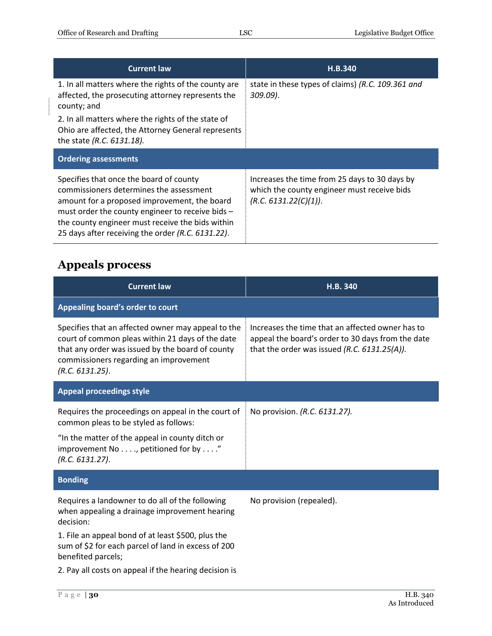| <b>Current law</b>                                                                                                                                                                                                                                                                              | H.B.340                                                                                                               |
|-------------------------------------------------------------------------------------------------------------------------------------------------------------------------------------------------------------------------------------------------------------------------------------------------|-----------------------------------------------------------------------------------------------------------------------|
| 1. In all matters where the rights of the county are<br>affected, the prosecuting attorney represents the<br>county; and                                                                                                                                                                        | state in these types of claims) (R.C. 109.361 and<br>309.09).                                                         |
| 2. In all matters where the rights of the state of<br>Ohio are affected, the Attorney General represents<br>the state (R.C. 6131.18).                                                                                                                                                           |                                                                                                                       |
| <b>Ordering assessments</b>                                                                                                                                                                                                                                                                     |                                                                                                                       |
| Specifies that once the board of county<br>commissioners determines the assessment<br>amount for a proposed improvement, the board<br>must order the county engineer to receive bids -<br>the county engineer must receive the bids within<br>25 days after receiving the order (R.C. 6131.22). | Increases the time from 25 days to 30 days by<br>which the county engineer must receive bids<br>(R.C. 6131.22(C)(1)). |

## <span id="page-29-0"></span>**Appeals process**

| <b>Current law</b>                                                                                                                                                                                                      | H.B. 340                                                                                                                                              |
|-------------------------------------------------------------------------------------------------------------------------------------------------------------------------------------------------------------------------|-------------------------------------------------------------------------------------------------------------------------------------------------------|
| Appealing board's order to court                                                                                                                                                                                        |                                                                                                                                                       |
| Specifies that an affected owner may appeal to the<br>court of common pleas within 21 days of the date<br>that any order was issued by the board of county<br>commissioners regarding an improvement<br>(R.C. 6131.25). | Increases the time that an affected owner has to<br>appeal the board's order to 30 days from the date<br>that the order was issued (R.C. 6131.25(A)). |
| <b>Appeal proceedings style</b>                                                                                                                                                                                         |                                                                                                                                                       |
| Requires the proceedings on appeal in the court of<br>common pleas to be styled as follows:                                                                                                                             | No provision. (R.C. 6131.27).                                                                                                                         |
| "In the matter of the appeal in county ditch or<br>improvement No, petitioned for by"<br>(R.C. 6131.27).                                                                                                                |                                                                                                                                                       |
| <b>Bonding</b>                                                                                                                                                                                                          |                                                                                                                                                       |
| Requires a landowner to do all of the following<br>when appealing a drainage improvement hearing<br>decision:                                                                                                           | No provision (repealed).                                                                                                                              |
| 1. File an appeal bond of at least \$500, plus the<br>sum of \$2 for each parcel of land in excess of 200<br>benefited parcels;                                                                                         |                                                                                                                                                       |
| 2. Pay all costs on appeal if the hearing decision is                                                                                                                                                                   |                                                                                                                                                       |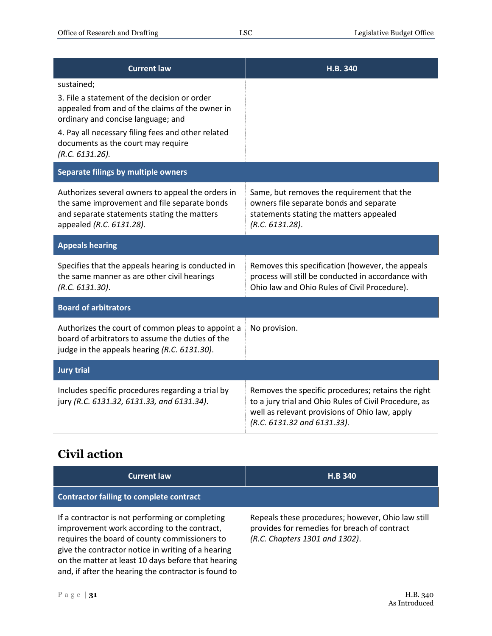| <b>Current law</b>                                                                                                                                                                                                                                                 | H.B. 340                                                                                                                                                                                     |
|--------------------------------------------------------------------------------------------------------------------------------------------------------------------------------------------------------------------------------------------------------------------|----------------------------------------------------------------------------------------------------------------------------------------------------------------------------------------------|
| sustained;<br>3. File a statement of the decision or order<br>appealed from and of the claims of the owner in<br>ordinary and concise language; and<br>4. Pay all necessary filing fees and other related<br>documents as the court may require<br>(R.C. 6131.26). |                                                                                                                                                                                              |
| Separate filings by multiple owners                                                                                                                                                                                                                                |                                                                                                                                                                                              |
| Authorizes several owners to appeal the orders in<br>the same improvement and file separate bonds<br>and separate statements stating the matters<br>appealed (R.C. 6131.28).                                                                                       | Same, but removes the requirement that the<br>owners file separate bonds and separate<br>statements stating the matters appealed<br>(R.C. 6131.28).                                          |
| <b>Appeals hearing</b>                                                                                                                                                                                                                                             |                                                                                                                                                                                              |
| Specifies that the appeals hearing is conducted in<br>the same manner as are other civil hearings<br>(R.C. 6131.30).                                                                                                                                               | Removes this specification (however, the appeals<br>process will still be conducted in accordance with<br>Ohio law and Ohio Rules of Civil Procedure).                                       |
| <b>Board of arbitrators</b>                                                                                                                                                                                                                                        |                                                                                                                                                                                              |
| Authorizes the court of common pleas to appoint a<br>board of arbitrators to assume the duties of the<br>judge in the appeals hearing (R.C. 6131.30).                                                                                                              | No provision.                                                                                                                                                                                |
| <b>Jury trial</b>                                                                                                                                                                                                                                                  |                                                                                                                                                                                              |
| Includes specific procedures regarding a trial by<br>jury (R.C. 6131.32, 6131.33, and 6131.34).                                                                                                                                                                    | Removes the specific procedures; retains the right<br>to a jury trial and Ohio Rules of Civil Procedure, as<br>well as relevant provisions of Ohio law, apply<br>(R.C. 6131.32 and 6131.33). |

# <span id="page-30-0"></span>**Civil action**

| <b>Current law</b>                                                                                                                                                                                                                                                                                                  | <b>H.B 340</b>                                                                                                                      |
|---------------------------------------------------------------------------------------------------------------------------------------------------------------------------------------------------------------------------------------------------------------------------------------------------------------------|-------------------------------------------------------------------------------------------------------------------------------------|
| <b>Contractor failing to complete contract</b>                                                                                                                                                                                                                                                                      |                                                                                                                                     |
| If a contractor is not performing or completing<br>improvement work according to the contract,<br>requires the board of county commissioners to<br>give the contractor notice in writing of a hearing<br>on the matter at least 10 days before that hearing<br>and, if after the hearing the contractor is found to | Repeals these procedures; however, Ohio law still<br>provides for remedies for breach of contract<br>(R.C. Chapters 1301 and 1302). |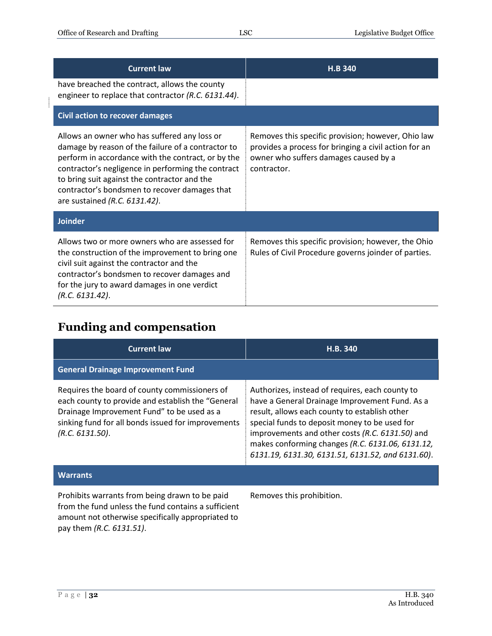| <b>Current law</b>                                                                                                                                                                                                                                                                                                                               | <b>H.B 340</b>                                                                                                                                                      |
|--------------------------------------------------------------------------------------------------------------------------------------------------------------------------------------------------------------------------------------------------------------------------------------------------------------------------------------------------|---------------------------------------------------------------------------------------------------------------------------------------------------------------------|
| have breached the contract, allows the county<br>engineer to replace that contractor (R.C. 6131.44).                                                                                                                                                                                                                                             |                                                                                                                                                                     |
| <b>Civil action to recover damages</b>                                                                                                                                                                                                                                                                                                           |                                                                                                                                                                     |
| Allows an owner who has suffered any loss or<br>damage by reason of the failure of a contractor to<br>perform in accordance with the contract, or by the<br>contractor's negligence in performing the contract<br>to bring suit against the contractor and the<br>contractor's bondsmen to recover damages that<br>are sustained (R.C. 6131.42). | Removes this specific provision; however, Ohio law<br>provides a process for bringing a civil action for an<br>owner who suffers damages caused by a<br>contractor. |
| <b>Joinder</b>                                                                                                                                                                                                                                                                                                                                   |                                                                                                                                                                     |
| Allows two or more owners who are assessed for<br>the construction of the improvement to bring one<br>civil suit against the contractor and the<br>contractor's bondsmen to recover damages and<br>for the jury to award damages in one verdict<br>(R.C. 6131.42).                                                                               | Removes this specific provision; however, the Ohio<br>Rules of Civil Procedure governs joinder of parties.                                                          |

#### <span id="page-31-0"></span>**Funding and compensation**

| <b>Current law</b>                                                                                                                                                                                                        | H.B. 340                                                                                                                                                                                                                                                                                                                                                        |
|---------------------------------------------------------------------------------------------------------------------------------------------------------------------------------------------------------------------------|-----------------------------------------------------------------------------------------------------------------------------------------------------------------------------------------------------------------------------------------------------------------------------------------------------------------------------------------------------------------|
| <b>General Drainage Improvement Fund</b>                                                                                                                                                                                  |                                                                                                                                                                                                                                                                                                                                                                 |
| Requires the board of county commissioners of<br>each county to provide and establish the "General<br>Drainage Improvement Fund" to be used as a<br>sinking fund for all bonds issued for improvements<br>(R.C. 6131.50). | Authorizes, instead of requires, each county to<br>have a General Drainage Improvement Fund. As a<br>result, allows each county to establish other<br>special funds to deposit money to be used for<br>improvements and other costs (R.C. 6131.50) and<br>makes conforming changes (R.C. 6131.06, 6131.12,<br>6131.19, 6131.30, 6131.51, 6131.52, and 6131.60). |
| <b>Warrants</b>                                                                                                                                                                                                           |                                                                                                                                                                                                                                                                                                                                                                 |
| Prohibits warrants from being drawn to be paid<br>from the fund unless the fund contains a sufficient<br>amount not otherwise specifically appropriated to                                                                | Removes this prohibition.                                                                                                                                                                                                                                                                                                                                       |

pay them *(R.C. 6131.51)*.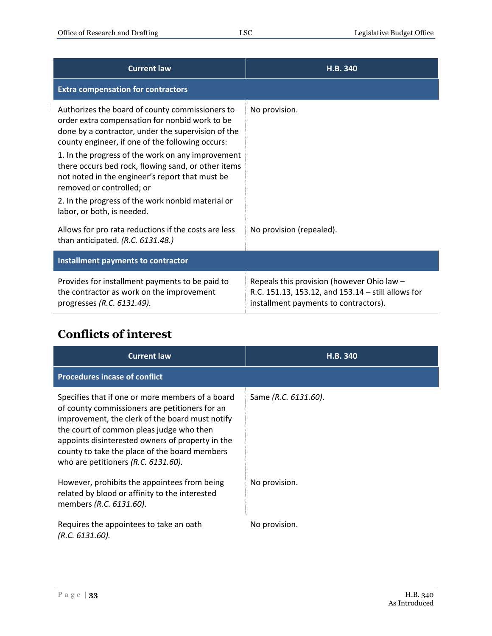| <b>Current law</b>                                                                                                                                                                                          | H.B. 340                                                                                                                                  |
|-------------------------------------------------------------------------------------------------------------------------------------------------------------------------------------------------------------|-------------------------------------------------------------------------------------------------------------------------------------------|
| <b>Extra compensation for contractors</b>                                                                                                                                                                   |                                                                                                                                           |
| Authorizes the board of county commissioners to<br>order extra compensation for nonbid work to be<br>done by a contractor, under the supervision of the<br>county engineer, if one of the following occurs: | No provision.                                                                                                                             |
| 1. In the progress of the work on any improvement<br>there occurs bed rock, flowing sand, or other items<br>not noted in the engineer's report that must be<br>removed or controlled; or                    |                                                                                                                                           |
| 2. In the progress of the work nonbid material or<br>labor, or both, is needed.                                                                                                                             |                                                                                                                                           |
| Allows for pro rata reductions if the costs are less<br>than anticipated. (R.C. 6131.48.)                                                                                                                   | No provision (repealed).                                                                                                                  |
| Installment payments to contractor                                                                                                                                                                          |                                                                                                                                           |
| Provides for installment payments to be paid to<br>the contractor as work on the improvement<br>progresses (R.C. 6131.49).                                                                                  | Repeals this provision (however Ohio law -<br>R.C. 151.13, 153.12, and 153.14 - still allows for<br>installment payments to contractors). |

#### <span id="page-32-0"></span>**Conflicts of interest**

| <b>Current law</b>                                                                                                                                                                                                                                                                                                                               | H.B. 340             |
|--------------------------------------------------------------------------------------------------------------------------------------------------------------------------------------------------------------------------------------------------------------------------------------------------------------------------------------------------|----------------------|
| <b>Procedures incase of conflict</b>                                                                                                                                                                                                                                                                                                             |                      |
| Specifies that if one or more members of a board<br>of county commissioners are petitioners for an<br>improvement, the clerk of the board must notify<br>the court of common pleas judge who then<br>appoints disinterested owners of property in the<br>county to take the place of the board members<br>who are petitioners $(R.C. 6131.60)$ . | Same (R.C. 6131.60). |
| However, prohibits the appointees from being<br>related by blood or affinity to the interested<br>members (R.C. 6131.60).                                                                                                                                                                                                                        | No provision.        |
| Requires the appointees to take an oath<br>(R.C. 6131.60).                                                                                                                                                                                                                                                                                       | No provision.        |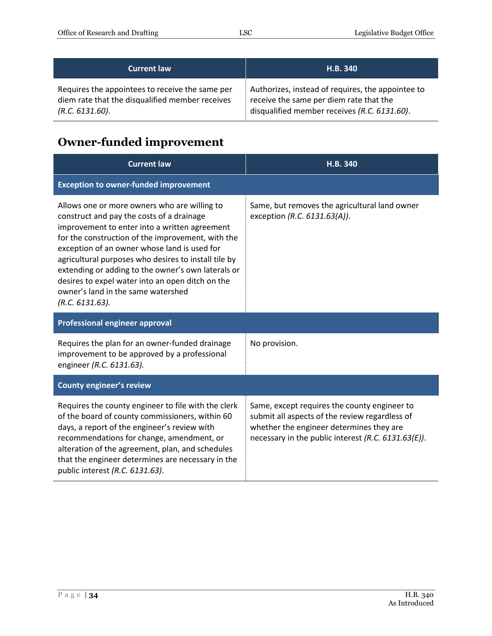| <b>Current law</b>                              | H.B. 340                                          |
|-------------------------------------------------|---------------------------------------------------|
| Requires the appointees to receive the same per | Authorizes, instead of requires, the appointee to |
| diem rate that the disqualified member receives | receive the same per diem rate that the           |
| (R.C. 6131.60).                                 | disqualified member receives (R.C. 6131.60).      |

# <span id="page-33-0"></span>**Owner-funded improvement**

| <b>Current law</b>                                                                                                                                                                                                                                                                                                                                                                                                                                                         | H.B. 340                                                                                                                                                                                          |
|----------------------------------------------------------------------------------------------------------------------------------------------------------------------------------------------------------------------------------------------------------------------------------------------------------------------------------------------------------------------------------------------------------------------------------------------------------------------------|---------------------------------------------------------------------------------------------------------------------------------------------------------------------------------------------------|
| <b>Exception to owner-funded improvement</b>                                                                                                                                                                                                                                                                                                                                                                                                                               |                                                                                                                                                                                                   |
| Allows one or more owners who are willing to<br>construct and pay the costs of a drainage<br>improvement to enter into a written agreement<br>for the construction of the improvement, with the<br>exception of an owner whose land is used for<br>agricultural purposes who desires to install tile by<br>extending or adding to the owner's own laterals or<br>desires to expel water into an open ditch on the<br>owner's land in the same watershed<br>(R.C. 6131.63). | Same, but removes the agricultural land owner<br>exception (R.C. 6131.63(A)).                                                                                                                     |
| Professional engineer approval                                                                                                                                                                                                                                                                                                                                                                                                                                             |                                                                                                                                                                                                   |
| Requires the plan for an owner-funded drainage<br>improvement to be approved by a professional<br>engineer (R.C. 6131.63).                                                                                                                                                                                                                                                                                                                                                 | No provision.                                                                                                                                                                                     |
| <b>County engineer's review</b>                                                                                                                                                                                                                                                                                                                                                                                                                                            |                                                                                                                                                                                                   |
| Requires the county engineer to file with the clerk<br>of the board of county commissioners, within 60<br>days, a report of the engineer's review with<br>recommendations for change, amendment, or<br>alteration of the agreement, plan, and schedules<br>that the engineer determines are necessary in the<br>public interest (R.C. 6131.63).                                                                                                                            | Same, except requires the county engineer to<br>submit all aspects of the review regardless of<br>whether the engineer determines they are<br>necessary in the public interest (R.C. 6131.63(E)). |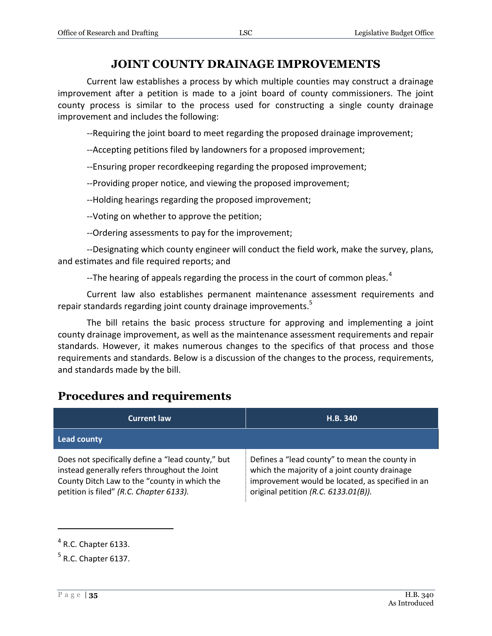#### **JOINT COUNTY DRAINAGE IMPROVEMENTS**

<span id="page-34-0"></span>Current law establishes a process by which multiple counties may construct a drainage improvement after a petition is made to a joint board of county commissioners. The joint county process is similar to the process used for constructing a single county drainage improvement and includes the following:

--Requiring the joint board to meet regarding the proposed drainage improvement;

--Accepting petitions filed by landowners for a proposed improvement;

--Ensuring proper recordkeeping regarding the proposed improvement;

--Providing proper notice, and viewing the proposed improvement;

--Holding hearings regarding the proposed improvement;

--Voting on whether to approve the petition;

--Ordering assessments to pay for the improvement;

--Designating which county engineer will conduct the field work, make the survey, plans, and estimates and file required reports; and

--The hearing of appeals regarding the process in the court of common pleas.<sup>4</sup>

Current law also establishes permanent maintenance assessment requirements and repair standards regarding joint county drainage improvements.<sup>5</sup>

The bill retains the basic process structure for approving and implementing a joint county drainage improvement, as well as the maintenance assessment requirements and repair standards. However, it makes numerous changes to the specifics of that process and those requirements and standards. Below is a discussion of the changes to the process, requirements, and standards made by the bill.

#### <span id="page-34-1"></span>**Procedures and requirements**

| <b>Current law</b>                                                                                                                                                                            | H.B. 340                                                                                                                                                                                   |
|-----------------------------------------------------------------------------------------------------------------------------------------------------------------------------------------------|--------------------------------------------------------------------------------------------------------------------------------------------------------------------------------------------|
| <b>Lead county</b>                                                                                                                                                                            |                                                                                                                                                                                            |
| Does not specifically define a "lead county," but<br>instead generally refers throughout the Joint<br>County Ditch Law to the "county in which the<br>petition is filed" (R.C. Chapter 6133). | Defines a "lead county" to mean the county in<br>which the majority of a joint county drainage<br>improvement would be located, as specified in an<br>original petition (R.C. 6133.01(B)). |

 $\overline{a}$ 

 $<sup>4</sup>$  R.C. Chapter 6133.</sup>

 $<sup>5</sup>$  R.C. Chapter 6137.</sup>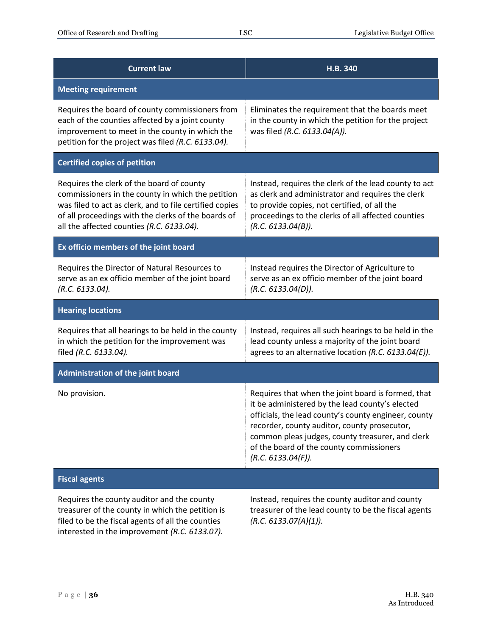$\begin{array}{ccccccccc} \multicolumn{2}{c}{} & \multicolumn{2}{c}{} & \multicolumn{2}{c}{} & \multicolumn{2}{c}{} & \multicolumn{2}{c}{} & \multicolumn{2}{c}{} & \multicolumn{2}{c}{} & \multicolumn{2}{c}{} & \multicolumn{2}{c}{} & \multicolumn{2}{c}{} & \multicolumn{2}{c}{} & \multicolumn{2}{c}{} & \multicolumn{2}{c}{} & \multicolumn{2}{c}{} & \multicolumn{2}{c}{} & \multicolumn{2}{c}{} & \multicolumn{2}{c}{} & \multicolumn{2}{c}{} & \multicolumn{2}{c}{} & \mult$ 

| <b>Current law</b>                                                                                                                                                                                                                                            | H.B. 340                                                                                                                                                                                                                                                                                                                            |
|---------------------------------------------------------------------------------------------------------------------------------------------------------------------------------------------------------------------------------------------------------------|-------------------------------------------------------------------------------------------------------------------------------------------------------------------------------------------------------------------------------------------------------------------------------------------------------------------------------------|
| <b>Meeting requirement</b>                                                                                                                                                                                                                                    |                                                                                                                                                                                                                                                                                                                                     |
| Requires the board of county commissioners from<br>each of the counties affected by a joint county<br>improvement to meet in the county in which the<br>petition for the project was filed (R.C. 6133.04).                                                    | Eliminates the requirement that the boards meet<br>in the county in which the petition for the project<br>was filed (R.C. 6133.04(A)).                                                                                                                                                                                              |
| <b>Certified copies of petition</b>                                                                                                                                                                                                                           |                                                                                                                                                                                                                                                                                                                                     |
| Requires the clerk of the board of county<br>commissioners in the county in which the petition<br>was filed to act as clerk, and to file certified copies<br>of all proceedings with the clerks of the boards of<br>all the affected counties (R.C. 6133.04). | Instead, requires the clerk of the lead county to act<br>as clerk and administrator and requires the clerk<br>to provide copies, not certified, of all the<br>proceedings to the clerks of all affected counties<br>(R.C. 6133.04(B)).                                                                                              |
| Ex officio members of the joint board                                                                                                                                                                                                                         |                                                                                                                                                                                                                                                                                                                                     |
| Requires the Director of Natural Resources to<br>serve as an ex officio member of the joint board<br>(R.C. 6133.04).                                                                                                                                          | Instead requires the Director of Agriculture to<br>serve as an ex officio member of the joint board<br>(R.C. 6133.04(D)).                                                                                                                                                                                                           |
| <b>Hearing locations</b>                                                                                                                                                                                                                                      |                                                                                                                                                                                                                                                                                                                                     |
| Requires that all hearings to be held in the county<br>in which the petition for the improvement was<br>filed (R.C. 6133.04).                                                                                                                                 | Instead, requires all such hearings to be held in the<br>lead county unless a majority of the joint board<br>agrees to an alternative location (R.C. 6133.04(E)).                                                                                                                                                                   |
| <b>Administration of the joint board</b>                                                                                                                                                                                                                      |                                                                                                                                                                                                                                                                                                                                     |
| No provision.                                                                                                                                                                                                                                                 | Requires that when the joint board is formed, that<br>it be administered by the lead county's elected<br>officials, the lead county's county engineer, county<br>recorder, county auditor, county prosecutor,<br>common pleas judges, county treasurer, and clerk<br>of the board of the county commissioners<br>(R.C. 6133.04(F)). |
| <b>Fiscal agents</b>                                                                                                                                                                                                                                          |                                                                                                                                                                                                                                                                                                                                     |
| Requires the county auditor and the county<br>treasurer of the county in which the petition is<br>filed to be the fiscal agents of all the counties<br>interested in the improvement (R.C. 6133.07).                                                          | Instead, requires the county auditor and county<br>treasurer of the lead county to be the fiscal agents<br>(R.C. 6133.07(A)(1)).                                                                                                                                                                                                    |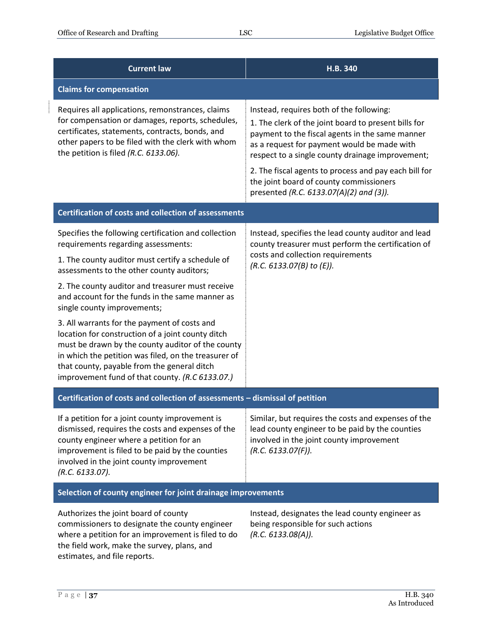$\frac{1}{2}$ 

| <b>Current law</b>                                                                                                                                                                                                                                                                                               | H.B. 340                                                                                                                                                                                                                                               |
|------------------------------------------------------------------------------------------------------------------------------------------------------------------------------------------------------------------------------------------------------------------------------------------------------------------|--------------------------------------------------------------------------------------------------------------------------------------------------------------------------------------------------------------------------------------------------------|
| <b>Claims for compensation</b>                                                                                                                                                                                                                                                                                   |                                                                                                                                                                                                                                                        |
| Requires all applications, remonstrances, claims<br>for compensation or damages, reports, schedules,<br>certificates, statements, contracts, bonds, and<br>other papers to be filed with the clerk with whom<br>the petition is filed (R.C. 6133.06).                                                            | Instead, requires both of the following:<br>1. The clerk of the joint board to present bills for<br>payment to the fiscal agents in the same manner<br>as a request for payment would be made with<br>respect to a single county drainage improvement; |
|                                                                                                                                                                                                                                                                                                                  | 2. The fiscal agents to process and pay each bill for<br>the joint board of county commissioners<br>presented (R.C. 6133.07(A)(2) and (3)).                                                                                                            |
| <b>Certification of costs and collection of assessments</b>                                                                                                                                                                                                                                                      |                                                                                                                                                                                                                                                        |
| Specifies the following certification and collection<br>requirements regarding assessments:                                                                                                                                                                                                                      | Instead, specifies the lead county auditor and lead<br>county treasurer must perform the certification of                                                                                                                                              |
| 1. The county auditor must certify a schedule of<br>assessments to the other county auditors;                                                                                                                                                                                                                    | costs and collection requirements<br>(R.C. 6133.07(B) to (E)).                                                                                                                                                                                         |
| 2. The county auditor and treasurer must receive<br>and account for the funds in the same manner as<br>single county improvements;                                                                                                                                                                               |                                                                                                                                                                                                                                                        |
| 3. All warrants for the payment of costs and<br>location for construction of a joint county ditch<br>must be drawn by the county auditor of the county<br>in which the petition was filed, on the treasurer of<br>that county, payable from the general ditch<br>improvement fund of that county. (R.C 6133.07.) |                                                                                                                                                                                                                                                        |
| Certification of costs and collection of assessments - dismissal of petition                                                                                                                                                                                                                                     |                                                                                                                                                                                                                                                        |
| If a petition for a joint county improvement is<br>dismissed, requires the costs and expenses of the<br>county engineer where a petition for an<br>improvement is filed to be paid by the counties<br>involved in the joint county improvement<br>(R.C. 6133.07).                                                | Similar, but requires the costs and expenses of the<br>lead county engineer to be paid by the counties<br>involved in the joint county improvement<br>(R.C. 6133.07(F)).                                                                               |
| Selection of county engineer for joint drainage improvements                                                                                                                                                                                                                                                     |                                                                                                                                                                                                                                                        |
| Authorizes the joint board of county<br>commissioners to designate the county engineer<br>where a petition for an improvement is filed to do<br>the field work, make the survey, plans, and<br>estimates, and file reports.                                                                                      | Instead, designates the lead county engineer as<br>being responsible for such actions<br>(R.C. 6133.08(A)).                                                                                                                                            |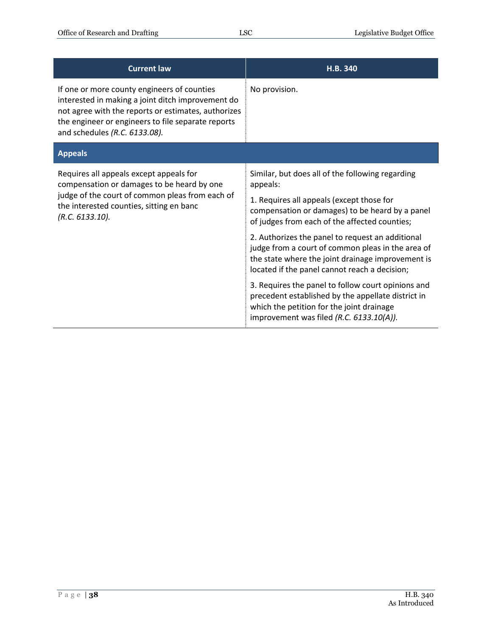<span id="page-37-0"></span>

| <b>Current law</b>                                                                                                                                                                                                                             | H.B. 340                                                                                                                                                                                                                                                                                                                                                                                                                     |
|------------------------------------------------------------------------------------------------------------------------------------------------------------------------------------------------------------------------------------------------|------------------------------------------------------------------------------------------------------------------------------------------------------------------------------------------------------------------------------------------------------------------------------------------------------------------------------------------------------------------------------------------------------------------------------|
| If one or more county engineers of counties<br>interested in making a joint ditch improvement do<br>not agree with the reports or estimates, authorizes<br>the engineer or engineers to file separate reports<br>and schedules (R.C. 6133.08). | No provision.                                                                                                                                                                                                                                                                                                                                                                                                                |
| <b>Appeals</b>                                                                                                                                                                                                                                 |                                                                                                                                                                                                                                                                                                                                                                                                                              |
| Requires all appeals except appeals for<br>compensation or damages to be heard by one<br>judge of the court of common pleas from each of<br>the interested counties, sitting en banc<br>(R.C. 6133.10).                                        | Similar, but does all of the following regarding<br>appeals:<br>1. Requires all appeals (except those for<br>compensation or damages) to be heard by a panel<br>of judges from each of the affected counties;<br>2. Authorizes the panel to request an additional<br>judge from a court of common pleas in the area of<br>the state where the joint drainage improvement is<br>located if the panel cannot reach a decision; |
|                                                                                                                                                                                                                                                | 3. Requires the panel to follow court opinions and<br>precedent established by the appellate district in<br>which the petition for the joint drainage<br>improvement was filed (R.C. 6133.10(A)).                                                                                                                                                                                                                            |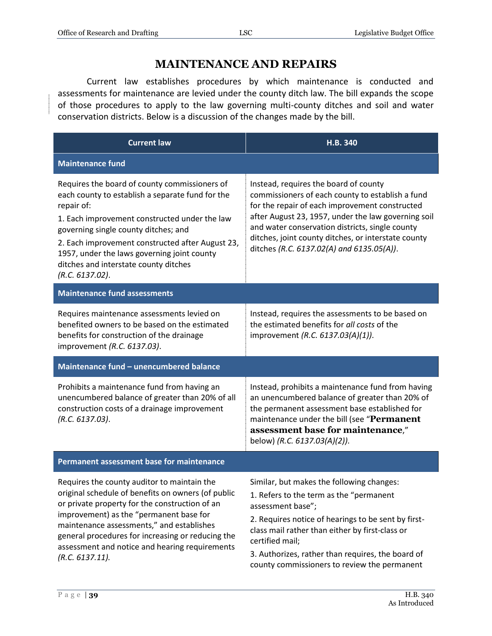#### **MAINTENANCE AND REPAIRS**

Current law establishes procedures by which maintenance is conducted and assessments for maintenance are levied under the county ditch law. The bill expands the scope of those procedures to apply to the law governing multi-county ditches and soil and water conservation districts. Below is a discussion of the changes made by the bill.

| <b>Current law</b>                                                                                                                                                                                                                                                                                                                                                      | H.B. 340                                                                                                                                                                                                                                                                                                                                                  |
|-------------------------------------------------------------------------------------------------------------------------------------------------------------------------------------------------------------------------------------------------------------------------------------------------------------------------------------------------------------------------|-----------------------------------------------------------------------------------------------------------------------------------------------------------------------------------------------------------------------------------------------------------------------------------------------------------------------------------------------------------|
| <b>Maintenance fund</b>                                                                                                                                                                                                                                                                                                                                                 |                                                                                                                                                                                                                                                                                                                                                           |
| Requires the board of county commissioners of<br>each county to establish a separate fund for the<br>repair of:<br>1. Each improvement constructed under the law<br>governing single county ditches; and<br>2. Each improvement constructed after August 23,<br>1957, under the laws governing joint county<br>ditches and interstate county ditches<br>(R.C. 6137.02). | Instead, requires the board of county<br>commissioners of each county to establish a fund<br>for the repair of each improvement constructed<br>after August 23, 1957, under the law governing soil<br>and water conservation districts, single county<br>ditches, joint county ditches, or interstate county<br>ditches (R.C. 6137.02(A) and 6135.05(A)). |
| <b>Maintenance fund assessments</b>                                                                                                                                                                                                                                                                                                                                     |                                                                                                                                                                                                                                                                                                                                                           |
| Requires maintenance assessments levied on<br>benefited owners to be based on the estimated<br>benefits for construction of the drainage<br>improvement (R.C. 6137.03).                                                                                                                                                                                                 | Instead, requires the assessments to be based on<br>the estimated benefits for all costs of the<br>improvement (R.C. 6137.03(A)(1)).                                                                                                                                                                                                                      |
| Maintenance fund - unencumbered balance                                                                                                                                                                                                                                                                                                                                 |                                                                                                                                                                                                                                                                                                                                                           |
| Prohibits a maintenance fund from having an<br>unencumbered balance of greater than 20% of all<br>construction costs of a drainage improvement<br>(R.C. 6137.03).                                                                                                                                                                                                       | Instead, prohibits a maintenance fund from having<br>an unencumbered balance of greater than 20% of<br>the permanent assessment base established for<br>maintenance under the bill (see "Permanent<br>assessment base for maintenance,"<br>below) (R.C. 6137.03(A)(2)).                                                                                   |
| Permanent assessment base for maintenance                                                                                                                                                                                                                                                                                                                               |                                                                                                                                                                                                                                                                                                                                                           |
| Requires the county auditor to maintain the<br>original schedule of benefits on owners (of public<br>or private property for the construction of an<br>improvement) as the "permanent base for<br>maintenance assessments," and establishes<br>general procedures for increasing or reducing the<br>assessment and notice and hearing requirements<br>(R.C. 6137.11).   | Similar, but makes the following changes:<br>1. Refers to the term as the "permanent<br>assessment base";<br>2. Requires notice of hearings to be sent by first-<br>class mail rather than either by first-class or<br>certified mail;<br>3. Authorizes, rather than requires, the board of<br>county commissioners to review the permanent               |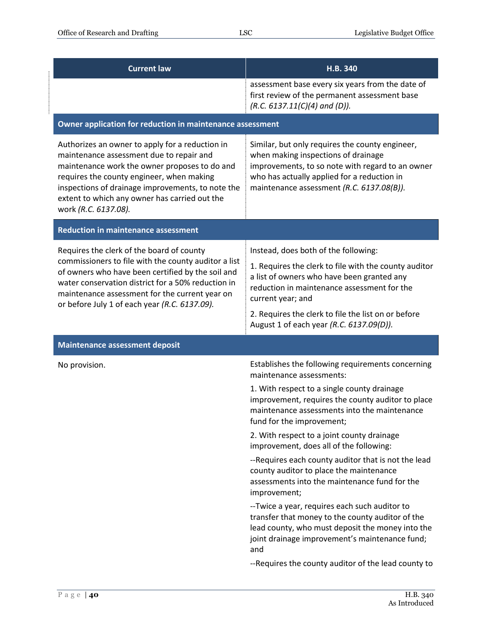| <b>Current law</b>                                                                                                                                                                                                                                                                                                      | H.B. 340                                                                                                                                                                                                                               |
|-------------------------------------------------------------------------------------------------------------------------------------------------------------------------------------------------------------------------------------------------------------------------------------------------------------------------|----------------------------------------------------------------------------------------------------------------------------------------------------------------------------------------------------------------------------------------|
|                                                                                                                                                                                                                                                                                                                         | assessment base every six years from the date of<br>first review of the permanent assessment base<br>$(R.C. 6137.11(C)(4)$ and (D)).                                                                                                   |
| Owner application for reduction in maintenance assessment                                                                                                                                                                                                                                                               |                                                                                                                                                                                                                                        |
| Authorizes an owner to apply for a reduction in<br>maintenance assessment due to repair and<br>maintenance work the owner proposes to do and<br>requires the county engineer, when making<br>inspections of drainage improvements, to note the<br>extent to which any owner has carried out the<br>work (R.C. 6137.08). | Similar, but only requires the county engineer,<br>when making inspections of drainage<br>improvements, to so note with regard to an owner<br>who has actually applied for a reduction in<br>maintenance assessment (R.C. 6137.08(B)). |
| <b>Reduction in maintenance assessment</b>                                                                                                                                                                                                                                                                              |                                                                                                                                                                                                                                        |
| Requires the clerk of the board of county                                                                                                                                                                                                                                                                               | Instead, does both of the following:                                                                                                                                                                                                   |
| commissioners to file with the county auditor a list<br>of owners who have been certified by the soil and<br>water conservation district for a 50% reduction in<br>maintenance assessment for the current year on<br>or before July 1 of each year (R.C. 6137.09).                                                      | 1. Requires the clerk to file with the county auditor<br>a list of owners who have been granted any<br>reduction in maintenance assessment for the<br>current year; and                                                                |
|                                                                                                                                                                                                                                                                                                                         | 2. Requires the clerk to file the list on or before<br>August 1 of each year (R.C. 6137.09(D)).                                                                                                                                        |
| <b>Maintenance assessment deposit</b>                                                                                                                                                                                                                                                                                   |                                                                                                                                                                                                                                        |
| No provision.                                                                                                                                                                                                                                                                                                           | Establishes the following requirements concerning<br>maintenance assessments:                                                                                                                                                          |
|                                                                                                                                                                                                                                                                                                                         | 1. With respect to a single county drainage<br>improvement, requires the county auditor to place<br>maintenance assessments into the maintenance<br>fund for the improvement;                                                          |
|                                                                                                                                                                                                                                                                                                                         | 2. With respect to a joint county drainage<br>improvement, does all of the following:                                                                                                                                                  |
|                                                                                                                                                                                                                                                                                                                         | --Requires each county auditor that is not the lead<br>county auditor to place the maintenance<br>assessments into the maintenance fund for the<br>improvement;                                                                        |
|                                                                                                                                                                                                                                                                                                                         | --Twice a year, requires each such auditor to<br>transfer that money to the county auditor of the<br>lead county, who must deposit the money into the<br>joint drainage improvement's maintenance fund;<br>and                         |
|                                                                                                                                                                                                                                                                                                                         | --Requires the county auditor of the lead county to                                                                                                                                                                                    |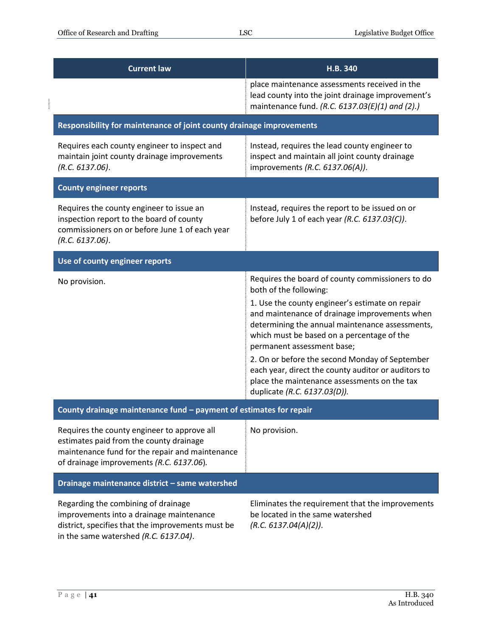$\begin{array}{ccccccccc} \multicolumn{2}{c}{} & \multicolumn{2}{c}{} & \multicolumn{2}{c}{} & \multicolumn{2}{c}{} & \multicolumn{2}{c}{} & \multicolumn{2}{c}{} & \multicolumn{2}{c}{} & \multicolumn{2}{c}{} & \multicolumn{2}{c}{} & \multicolumn{2}{c}{} & \multicolumn{2}{c}{} & \multicolumn{2}{c}{} & \multicolumn{2}{c}{} & \multicolumn{2}{c}{} & \multicolumn{2}{c}{} & \multicolumn{2}{c}{} & \multicolumn{2}{c}{} & \multicolumn{2}{c}{} & \multicolumn{2}{c}{} & \mult$ 

| <b>Current law</b>                                                                                                                                                                    | H.B. 340                                                                                                                                                                                                                                                                                                                                                                                                                                                                                               |  |
|---------------------------------------------------------------------------------------------------------------------------------------------------------------------------------------|--------------------------------------------------------------------------------------------------------------------------------------------------------------------------------------------------------------------------------------------------------------------------------------------------------------------------------------------------------------------------------------------------------------------------------------------------------------------------------------------------------|--|
|                                                                                                                                                                                       | place maintenance assessments received in the<br>lead county into the joint drainage improvement's<br>maintenance fund. (R.C. 6137.03(E)(1) and (2).)                                                                                                                                                                                                                                                                                                                                                  |  |
| Responsibility for maintenance of joint county drainage improvements                                                                                                                  |                                                                                                                                                                                                                                                                                                                                                                                                                                                                                                        |  |
| Requires each county engineer to inspect and<br>maintain joint county drainage improvements<br>(R.C. 6137.06).                                                                        | Instead, requires the lead county engineer to<br>inspect and maintain all joint county drainage<br>improvements (R.C. 6137.06(A)).                                                                                                                                                                                                                                                                                                                                                                     |  |
| <b>County engineer reports</b>                                                                                                                                                        |                                                                                                                                                                                                                                                                                                                                                                                                                                                                                                        |  |
| Requires the county engineer to issue an<br>inspection report to the board of county<br>commissioners on or before June 1 of each year<br>(R.C. 6137.06).                             | Instead, requires the report to be issued on or<br>before July 1 of each year (R.C. 6137.03(C)).                                                                                                                                                                                                                                                                                                                                                                                                       |  |
| Use of county engineer reports                                                                                                                                                        |                                                                                                                                                                                                                                                                                                                                                                                                                                                                                                        |  |
| No provision.                                                                                                                                                                         | Requires the board of county commissioners to do<br>both of the following:<br>1. Use the county engineer's estimate on repair<br>and maintenance of drainage improvements when<br>determining the annual maintenance assessments,<br>which must be based on a percentage of the<br>permanent assessment base;<br>2. On or before the second Monday of September<br>each year, direct the county auditor or auditors to<br>place the maintenance assessments on the tax<br>duplicate (R.C. 6137.03(D)). |  |
| County drainage maintenance fund - payment of estimates for repair                                                                                                                    |                                                                                                                                                                                                                                                                                                                                                                                                                                                                                                        |  |
| Requires the county engineer to approve all<br>estimates paid from the county drainage<br>maintenance fund for the repair and maintenance<br>of drainage improvements (R.C. 6137.06). | No provision.                                                                                                                                                                                                                                                                                                                                                                                                                                                                                          |  |
| Drainage maintenance district - same watershed                                                                                                                                        |                                                                                                                                                                                                                                                                                                                                                                                                                                                                                                        |  |
| Regarding the combining of drainage<br>improvements into a drainage maintenance<br>district, specifies that the improvements must be<br>in the same watershed (R.C. 6137.04).         | Eliminates the requirement that the improvements<br>be located in the same watershed<br>(R.C. 6137.04(A)(2)).                                                                                                                                                                                                                                                                                                                                                                                          |  |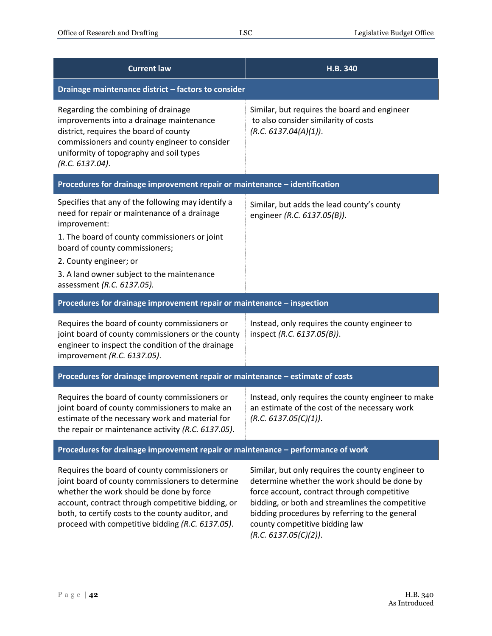| <b>Current law</b>                                                                                                                                                                                                                                                                                          | H.B. 340                                                                                                                                         |  |
|-------------------------------------------------------------------------------------------------------------------------------------------------------------------------------------------------------------------------------------------------------------------------------------------------------------|--------------------------------------------------------------------------------------------------------------------------------------------------|--|
| Drainage maintenance district - factors to consider                                                                                                                                                                                                                                                         |                                                                                                                                                  |  |
| Regarding the combining of drainage<br>improvements into a drainage maintenance<br>district, requires the board of county<br>commissioners and county engineer to consider<br>uniformity of topography and soil types<br>(R.C. 6137.04).                                                                    | Similar, but requires the board and engineer<br>to also consider similarity of costs<br>(R.C. 6137.04(A)(1)).                                    |  |
| Procedures for drainage improvement repair or maintenance - identification                                                                                                                                                                                                                                  |                                                                                                                                                  |  |
| Specifies that any of the following may identify a<br>need for repair or maintenance of a drainage<br>improvement:<br>1. The board of county commissioners or joint<br>board of county commissioners;<br>2. County engineer; or<br>3. A land owner subject to the maintenance<br>assessment (R.C. 6137.05). | Similar, but adds the lead county's county<br>engineer (R.C. 6137.05(B)).                                                                        |  |
| Procedures for drainage improvement repair or maintenance - inspection                                                                                                                                                                                                                                      |                                                                                                                                                  |  |
| Requires the board of county commissioners or<br>joint board of county commissioners or the county<br>engineer to inspect the condition of the drainage<br>improvement (R.C. 6137.05).                                                                                                                      | Instead, only requires the county engineer to<br>inspect (R.C. 6137.05(B)).                                                                      |  |
| Procedures for drainage improvement repair or maintenance - estimate of costs                                                                                                                                                                                                                               |                                                                                                                                                  |  |
| Requires the board of county commissioners or<br>joint board of county commissioners to make an<br>estimate of the necessary work and material for<br>the repair or maintenance activity (R.C. 6137.05).                                                                                                    | Instead, only requires the county engineer to make<br>an estimate of the cost of the necessary work<br>(R.C. 6137.05(C)(1)).                     |  |
| Procedures for drainage improvement repair or maintenance - performance of work                                                                                                                                                                                                                             |                                                                                                                                                  |  |
| Requires the board of county commissioners or<br>joint board of county commissioners to determine<br>whether the work should be done by force                                                                                                                                                               | Similar, but only requires the county engineer to<br>determine whether the work should be done by<br>force account, contract through competitive |  |

whether the work should be done by force account, contract through competitive bidding, or both, to certify costs to the county auditor, and proceed with competitive bidding *(R.C. 6137.05)*.

force account, contract through competitive bidding, or both and streamlines the competitive bidding procedures by referring to the general county competitive bidding law *(R.C. 6137.05(C)(2))*.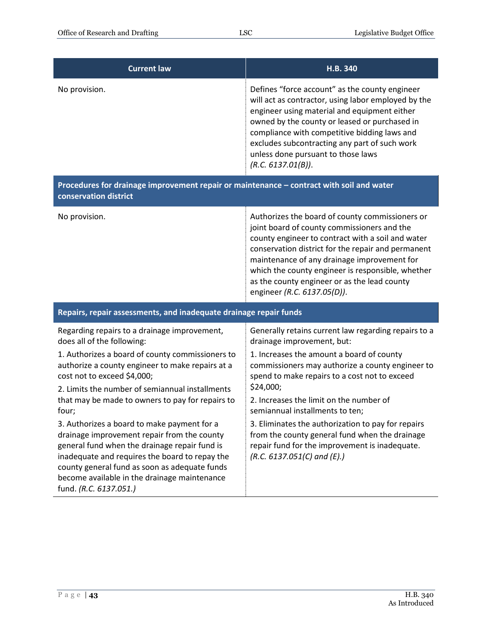| <b>Current law</b>                                                                                                                                                                                                                         | H.B. 340                                                                                                                                                                                                                                                                                                                                                                                     |  |
|--------------------------------------------------------------------------------------------------------------------------------------------------------------------------------------------------------------------------------------------|----------------------------------------------------------------------------------------------------------------------------------------------------------------------------------------------------------------------------------------------------------------------------------------------------------------------------------------------------------------------------------------------|--|
| No provision.                                                                                                                                                                                                                              | Defines "force account" as the county engineer<br>will act as contractor, using labor employed by the<br>engineer using material and equipment either<br>owned by the county or leased or purchased in<br>compliance with competitive bidding laws and<br>excludes subcontracting any part of such work<br>unless done pursuant to those laws<br>(R.C. 6137.01(B)).                          |  |
| Procedures for drainage improvement repair or maintenance - contract with soil and water<br>conservation district                                                                                                                          |                                                                                                                                                                                                                                                                                                                                                                                              |  |
| No provision.                                                                                                                                                                                                                              | Authorizes the board of county commissioners or<br>joint board of county commissioners and the<br>county engineer to contract with a soil and water<br>conservation district for the repair and permanent<br>maintenance of any drainage improvement for<br>which the county engineer is responsible, whether<br>as the county engineer or as the lead county<br>engineer (R.C. 6137.05(D)). |  |
| Repairs, repair assessments, and inadequate drainage repair funds                                                                                                                                                                          |                                                                                                                                                                                                                                                                                                                                                                                              |  |
| Regarding repairs to a drainage improvement,<br>does all of the following:                                                                                                                                                                 | Generally retains current law regarding repairs to a<br>drainage improvement, but:                                                                                                                                                                                                                                                                                                           |  |
| 1. Authorizes a board of county commissioners to<br>authorize a county engineer to make repairs at a<br>cost not to exceed \$4,000;<br>2. Limits the number of semiannual installments<br>that may be made to owners to pay for repairs to | 1. Increases the amount a board of county<br>commissioners may authorize a county engineer to<br>spend to make repairs to a cost not to exceed<br>\$24,000;<br>2. Increases the limit on the number of                                                                                                                                                                                       |  |
| four;<br>3. Authorizes a board to make payment for a<br>drainage improvement repair from the county                                                                                                                                        | semiannual installments to ten;<br>3. Eliminates the authorization to pay for repairs<br>from the county general fund when the drainage                                                                                                                                                                                                                                                      |  |

general fund when the drainage repair fund is inadequate and requires the board to repay the county general fund as soon as adequate funds become available in the drainage maintenance fund. *(R.C. 6137.051.)*

repair fund for the improvement is inadequate. *(R.C. 6137.051(C) and (E).)*